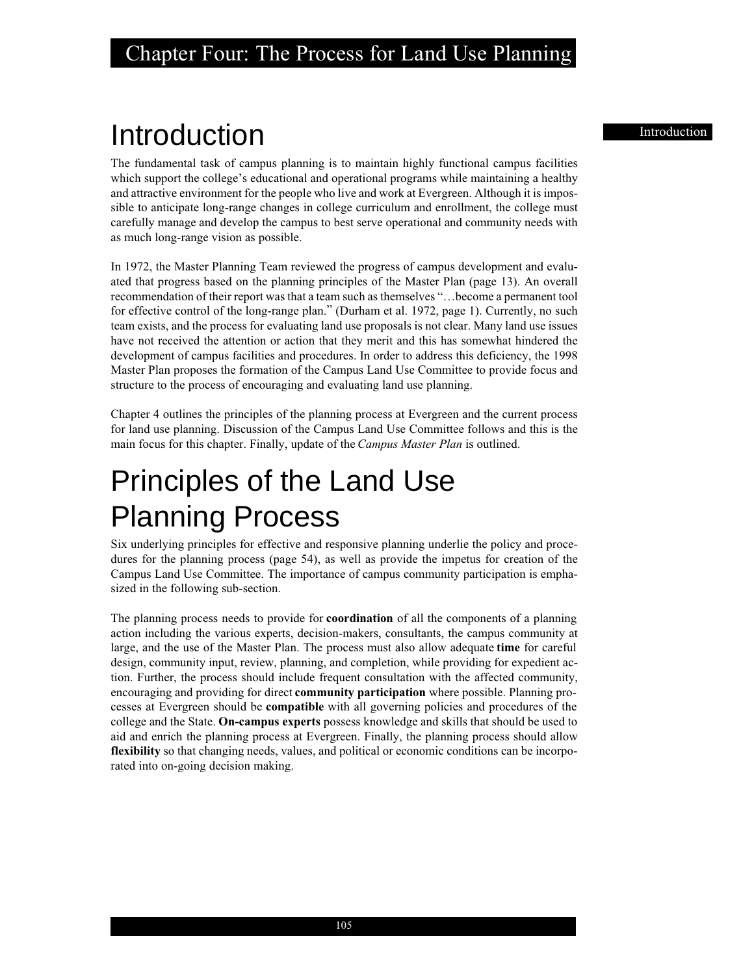## Introduction **Introduction**

The fundamental task of campus planning is to maintain highly functional campus facilities which support the college's educational and operational programs while maintaining a healthy and attractive environment for the people who live and work at Evergreen. Although it is impossible to anticipate long-range changes in college curriculum and enrollment, the college must carefully manage and develop the campus to best serve operational and community needs with as much long-range vision as possible.

In 1972, the Master Planning Team reviewed the progress of campus development and evaluated that progress based on the planning principles of the Master Plan (page 13). An overall recommendation of their report was that a team such as themselves "…become a permanent tool for effective control of the long-range plan." (Durham et al. 1972, page 1). Currently, no such team exists, and the process for evaluating land use proposals is not clear. Many land use issues have not received the attention or action that they merit and this has somewhat hindered the development of campus facilities and procedures. In order to address this deficiency, the 1998 Master Plan proposes the formation of the Campus Land Use Committee to provide focus and structure to the process of encouraging and evaluating land use planning.

Chapter 4 outlines the principles of the planning process at Evergreen and the current process for land use planning. Discussion of the Campus Land Use Committee follows and this is the main focus for this chapter. Finally, update of the *Campus Master Plan* is outlined.

## Principles of the Land Use Planning Process

Six underlying principles for effective and responsive planning underlie the policy and procedures for the planning process (page 54), as well as provide the impetus for creation of the Campus Land Use Committee. The importance of campus community participation is emphasized in the following sub-section.

The planning process needs to provide for **coordination** of all the components of a planning action including the various experts, decision-makers, consultants, the campus community at large, and the use of the Master Plan. The process must also allow adequate **time** for careful design, community input, review, planning, and completion, while providing for expedient action. Further, the process should include frequent consultation with the affected community, encouraging and providing for direct **community participation** where possible. Planning processes at Evergreen should be **compatible** with all governing policies and procedures of the college and the State. **On-campus experts** possess knowledge and skills that should be used to aid and enrich the planning process at Evergreen. Finally, the planning process should allow **flexibility** so that changing needs, values, and political or economic conditions can be incorporated into on-going decision making.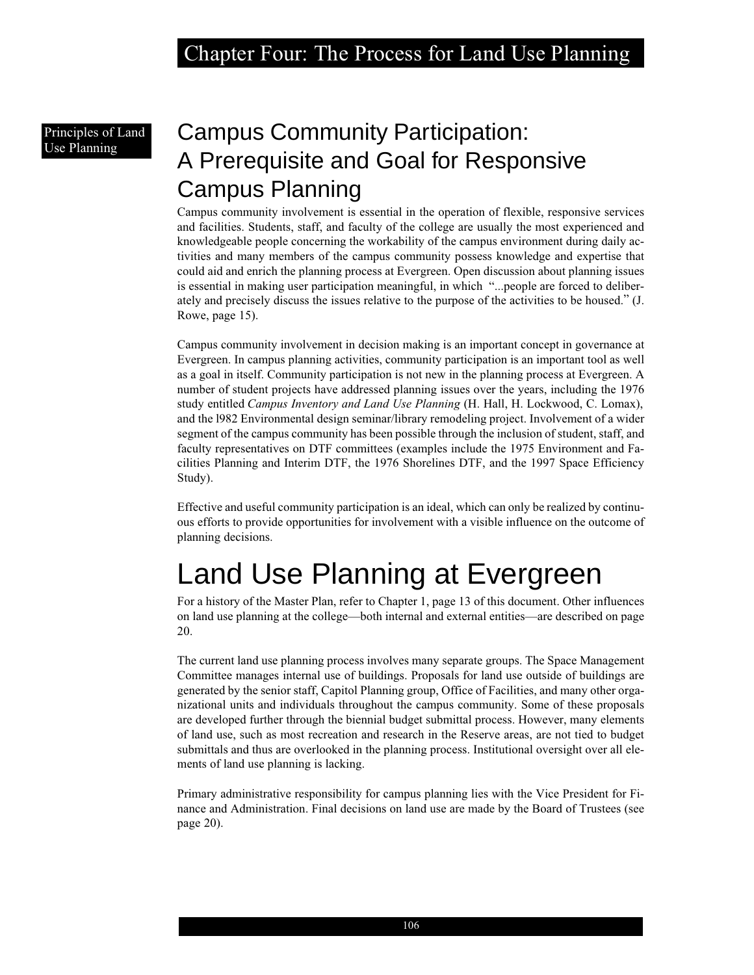## Principles of Land

### Principles of Land Campus Community Participation: A Prerequisite and Goal for Responsive Campus Planning

Campus community involvement is essential in the operation of flexible, responsive services and facilities. Students, staff, and faculty of the college are usually the most experienced and knowledgeable people concerning the workability of the campus environment during daily activities and many members of the campus community possess knowledge and expertise that could aid and enrich the planning process at Evergreen. Open discussion about planning issues is essential in making user participation meaningful, in which "...people are forced to deliberately and precisely discuss the issues relative to the purpose of the activities to be housed." (J. Rowe, page 15).

Campus community involvement in decision making is an important concept in governance at Evergreen. In campus planning activities, community participation is an important tool as well as a goal in itself. Community participation is not new in the planning process at Evergreen. A number of student projects have addressed planning issues over the years, including the 1976 study entitled *Campus Inventory and Land Use Planning* (H. Hall, H. Lockwood, C. Lomax), and the l982 Environmental design seminar/library remodeling project. Involvement of a wider segment of the campus community has been possible through the inclusion of student, staff, and faculty representatives on DTF committees (examples include the 1975 Environment and Facilities Planning and Interim DTF, the 1976 Shorelines DTF, and the 1997 Space Efficiency Study).

Effective and useful community participation is an ideal, which can only be realized by continuous efforts to provide opportunities for involvement with a visible influence on the outcome of planning decisions.

## Land Use Planning at Evergreen

For a history of the Master Plan, refer to Chapter 1, page 13 of this document. Other influences on land use planning at the college—both internal and external entities—are described on page 20.

The current land use planning process involves many separate groups. The Space Management Committee manages internal use of buildings. Proposals for land use outside of buildings are generated by the senior staff, Capitol Planning group, Office of Facilities, and many other organizational units and individuals throughout the campus community. Some of these proposals are developed further through the biennial budget submittal process. However, many elements of land use, such as most recreation and research in the Reserve areas, are not tied to budget submittals and thus are overlooked in the planning process. Institutional oversight over all elements of land use planning is lacking.

Primary administrative responsibility for campus planning lies with the Vice President for Finance and Administration. Final decisions on land use are made by the Board of Trustees (see page 20).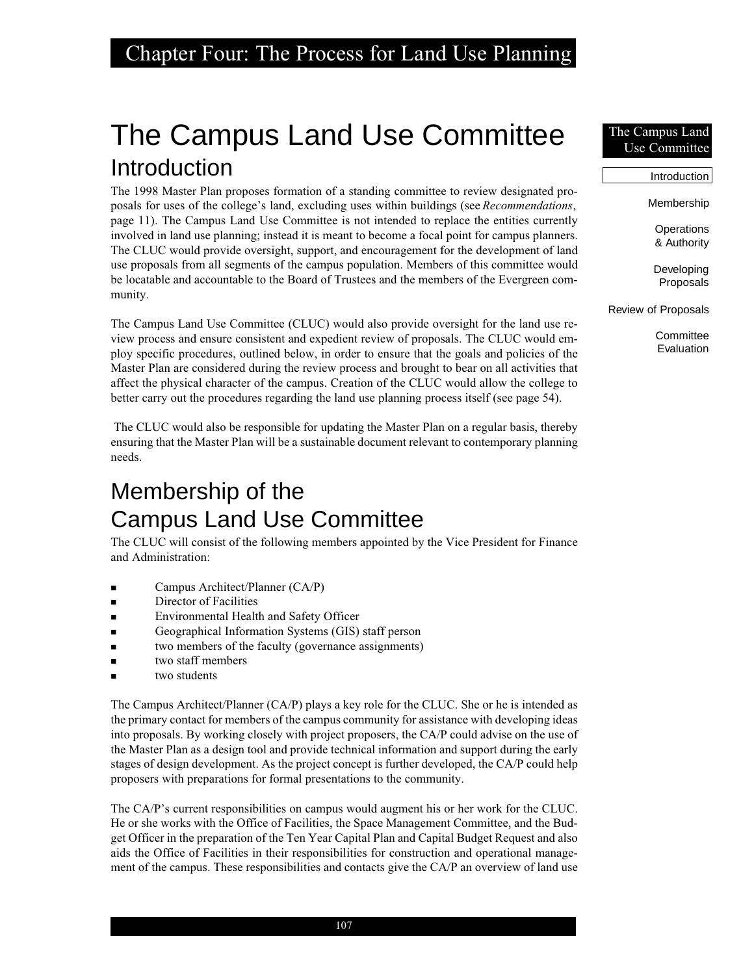### Chapter Four: The Process for Land Use Planning

## The Campus Land Use Committee Introduction

The 1998 Master Plan proposes formation of a standing committee to review designated proposals for uses of the college's land, excluding uses within buildings (see *Recommendations*, page 11). The Campus Land Use Committee is not intended to replace the entities currently involved in land use planning; instead it is meant to become a focal point for campus planners. The CLUC would provide oversight, support, and encouragement for the development of land use proposals from all segments of the campus population. Members of this committee would be locatable and accountable to the Board of Trustees and the members of the Evergreen community.

The Campus Land Use Committee (CLUC) would also provide oversight for the land use review process and ensure consistent and expedient review of proposals. The CLUC would employ specific procedures, outlined below, in order to ensure that the goals and policies of the Master Plan are considered during the review process and brought to bear on all activities that affect the physical character of the campus. Creation of the CLUC would allow the college to better carry out the procedures regarding the land use planning process itself (see page 54).

 The CLUC would also be responsible for updating the Master Plan on a regular basis, thereby ensuring that the Master Plan will be a sustainable document relevant to contemporary planning needs.

### Membership of the Campus Land Use Committee

The CLUC will consist of the following members appointed by the Vice President for Finance and Administration:

- Campus Architect/Planner (CA/P)
- Director of Facilities
- Environmental Health and Safety Officer
- Geographical Information Systems (GIS) staff person
- two members of the faculty (governance assignments)
- two staff members
- two students

The Campus Architect/Planner (CA/P) plays a key role for the CLUC. She or he is intended as the primary contact for members of the campus community for assistance with developing ideas into proposals. By working closely with project proposers, the CA/P could advise on the use of the Master Plan as a design tool and provide technical information and support during the early stages of design development. As the project concept is further developed, the CA/P could help proposers with preparations for formal presentations to the community.

The CA/P's current responsibilities on campus would augment his or her work for the CLUC. He or she works with the Office of Facilities, the Space Management Committee, and the Budget Officer in the preparation of the Ten Year Capital Plan and Capital Budget Request and also aids the Office of Facilities in their responsibilities for construction and operational management of the campus. These responsibilities and contacts give the CA/P an overview of land use

#### The Campus Land Use Committee

Membership **Operations** & Authority Developing Proposals Review of Proposals

Introduction

**Committee** Evaluation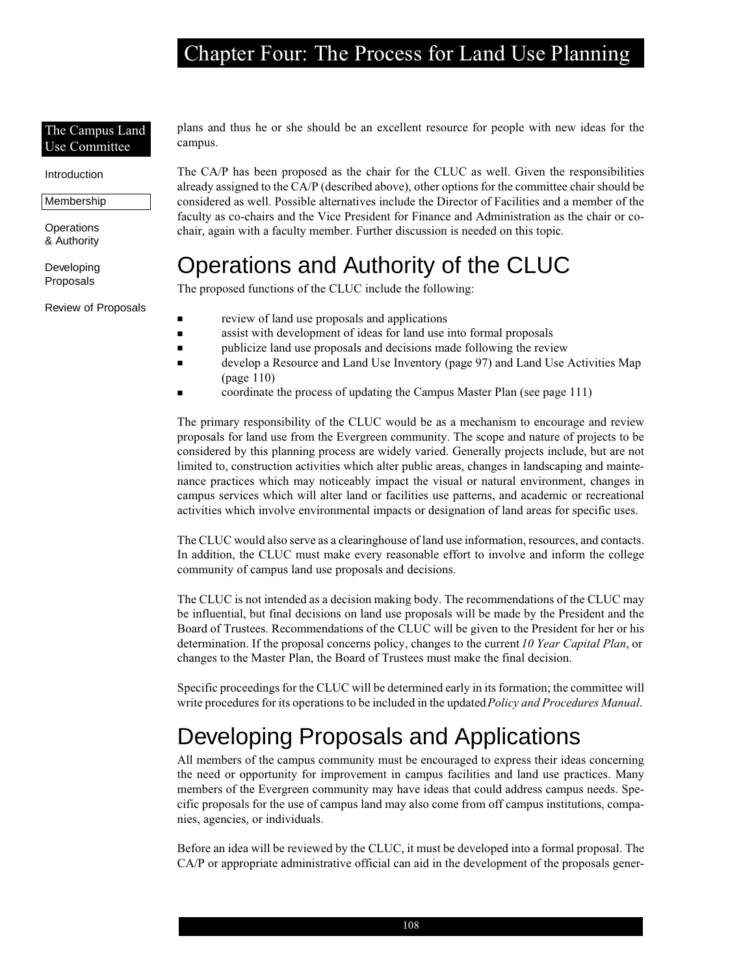### Chapter Four: The Process for Land Use Planning

#### The Campus Land Use Committee

#### Introduction

Membership

**Operations** & Authority

Developing Proposals

Review of Proposals

plans and thus he or she should be an excellent resource for people with new ideas for the campus.

The CA/P has been proposed as the chair for the CLUC as well. Given the responsibilities already assigned to the CA/P (described above), other options for the committee chair should be considered as well. Possible alternatives include the Director of Facilities and a member of the faculty as co-chairs and the Vice President for Finance and Administration as the chair or cochair, again with a faculty member. Further discussion is needed on this topic.

### Operations and Authority of the CLUC

The proposed functions of the CLUC include the following:

- review of land use proposals and applications
- assist with development of ideas for land use into formal proposals
	- publicize land use proposals and decisions made following the review
- develop a Resource and Land Use Inventory (page 97) and Land Use Activities Map (page 110)
- coordinate the process of updating the Campus Master Plan (see page 111)

The primary responsibility of the CLUC would be as a mechanism to encourage and review proposals for land use from the Evergreen community. The scope and nature of projects to be considered by this planning process are widely varied. Generally projects include, but are not limited to, construction activities which alter public areas, changes in landscaping and maintenance practices which may noticeably impact the visual or natural environment, changes in campus services which will alter land or facilities use patterns, and academic or recreational activities which involve environmental impacts or designation of land areas for specific uses.

The CLUC would also serve as a clearinghouse of land use information, resources, and contacts. In addition, the CLUC must make every reasonable effort to involve and inform the college community of campus land use proposals and decisions.

The CLUC is not intended as a decision making body. The recommendations of the CLUC may be influential, but final decisions on land use proposals will be made by the President and the Board of Trustees. Recommendations of the CLUC will be given to the President for her or his determination. If the proposal concerns policy, changes to the current *10 Year Capital Plan*, or changes to the Master Plan, the Board of Trustees must make the final decision.

Specific proceedings for the CLUC will be determined early in its formation; the committee will write procedures for its operations to be included in the updated *Policy and Procedures Manual*.

### Developing Proposals and Applications

All members of the campus community must be encouraged to express their ideas concerning the need or opportunity for improvement in campus facilities and land use practices. Many members of the Evergreen community may have ideas that could address campus needs. Specific proposals for the use of campus land may also come from off campus institutions, companies, agencies, or individuals.

Before an idea will be reviewed by the CLUC, it must be developed into a formal proposal. The CA/P or appropriate administrative official can aid in the development of the proposals gener-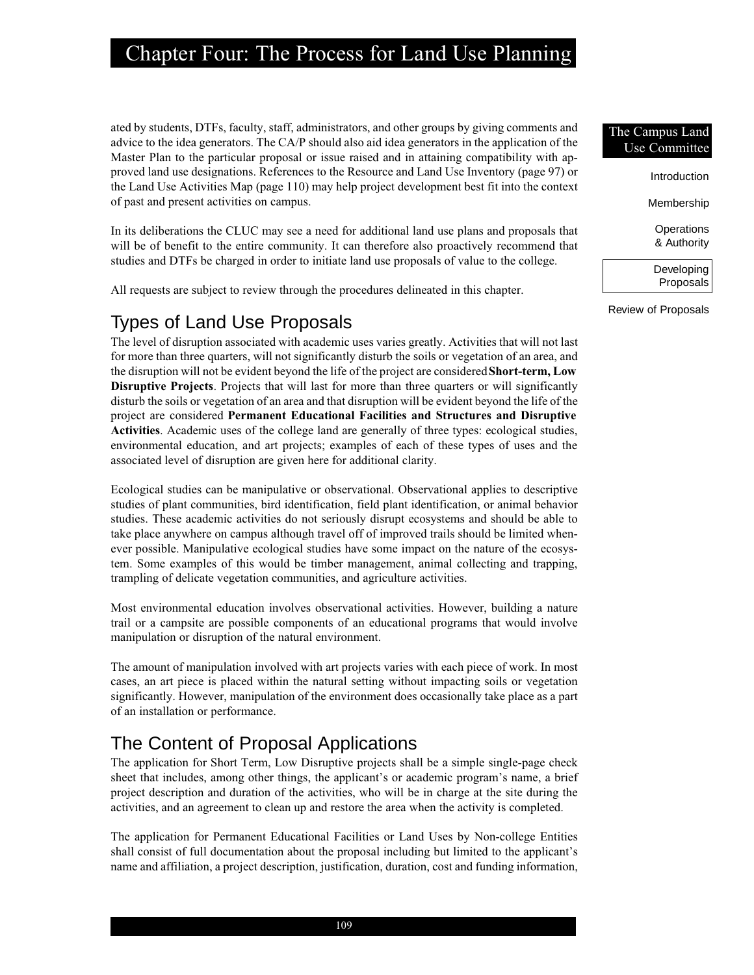### Chapter Four: The Process for Land Use Planning

ated by students, DTFs, faculty, staff, administrators, and other groups by giving comments and advice to the idea generators. The CA/P should also aid idea generators in the application of the Master Plan to the particular proposal or issue raised and in attaining compatibility with approved land use designations. References to the Resource and Land Use Inventory (page 97) or the Land Use Activities Map (page 110) may help project development best fit into the context of past and present activities on campus.

In its deliberations the CLUC may see a need for additional land use plans and proposals that will be of benefit to the entire community. It can therefore also proactively recommend that studies and DTFs be charged in order to initiate land use proposals of value to the college.

All requests are subject to review through the procedures delineated in this chapter.

#### Types of Land Use Proposals

The level of disruption associated with academic uses varies greatly. Activities that will not last for more than three quarters, will not significantly disturb the soils or vegetation of an area, and the disruption will not be evident beyond the life of the project are considered **Short-term, Low Disruptive Projects**. Projects that will last for more than three quarters or will significantly disturb the soils or vegetation of an area and that disruption will be evident beyond the life of the project are considered **Permanent Educational Facilities and Structures and Disruptive Activities**. Academic uses of the college land are generally of three types: ecological studies, environmental education, and art projects; examples of each of these types of uses and the associated level of disruption are given here for additional clarity.

Ecological studies can be manipulative or observational. Observational applies to descriptive studies of plant communities, bird identification, field plant identification, or animal behavior studies. These academic activities do not seriously disrupt ecosystems and should be able to take place anywhere on campus although travel off of improved trails should be limited whenever possible. Manipulative ecological studies have some impact on the nature of the ecosystem. Some examples of this would be timber management, animal collecting and trapping, trampling of delicate vegetation communities, and agriculture activities.

Most environmental education involves observational activities. However, building a nature trail or a campsite are possible components of an educational programs that would involve manipulation or disruption of the natural environment.

The amount of manipulation involved with art projects varies with each piece of work. In most cases, an art piece is placed within the natural setting without impacting soils or vegetation significantly. However, manipulation of the environment does occasionally take place as a part of an installation or performance.

### The Content of Proposal Applications

The application for Short Term, Low Disruptive projects shall be a simple single-page check sheet that includes, among other things, the applicant's or academic program's name, a brief project description and duration of the activities, who will be in charge at the site during the activities, and an agreement to clean up and restore the area when the activity is completed.

The application for Permanent Educational Facilities or Land Uses by Non-college Entities shall consist of full documentation about the proposal including but limited to the applicant's name and affiliation, a project description, justification, duration, cost and funding information,

#### The Campus Land Use Committee

Introduction

Membership

**Operations** & Authority

Developing Proposals

Review of Proposals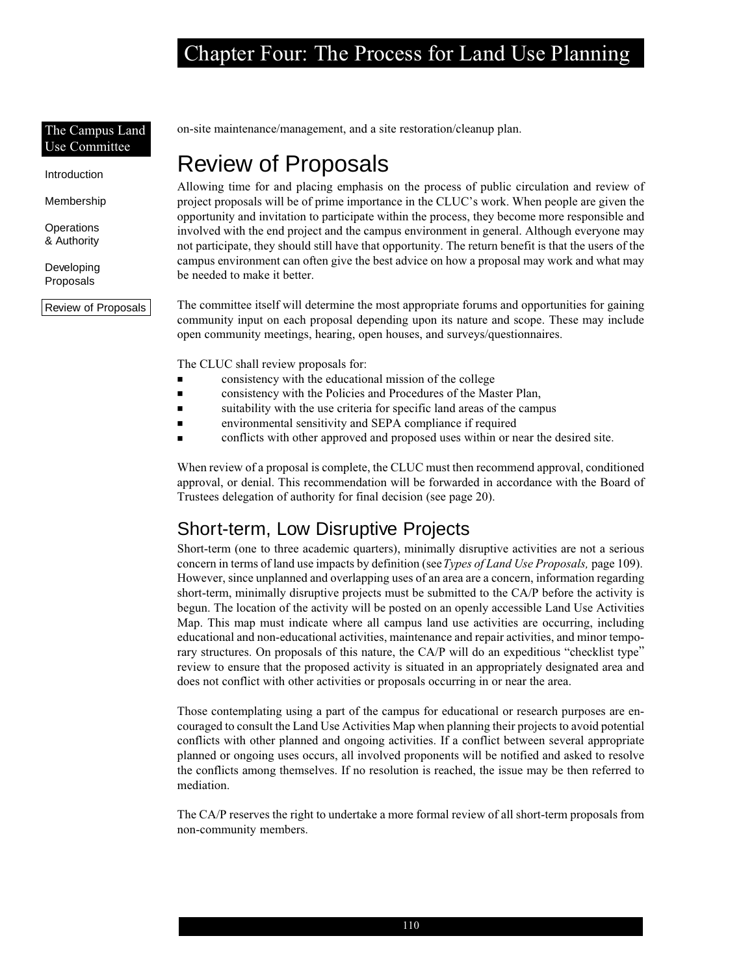#### The Campus Land Use Committee

Introduction

Membership

**Operations** & Authority

Developing Proposals

Review of Proposals

on-site maintenance/management, and a site restoration/cleanup plan.

### Review of Proposals

Allowing time for and placing emphasis on the process of public circulation and review of project proposals will be of prime importance in the CLUC's work. When people are given the opportunity and invitation to participate within the process, they become more responsible and involved with the end project and the campus environment in general. Although everyone may not participate, they should still have that opportunity. The return benefit is that the users of the campus environment can often give the best advice on how a proposal may work and what may be needed to make it better.

The committee itself will determine the most appropriate forums and opportunities for gaining community input on each proposal depending upon its nature and scope. These may include open community meetings, hearing, open houses, and surveys/questionnaires.

The CLUC shall review proposals for:

- consistency with the educational mission of the college
- consistency with the Policies and Procedures of the Master Plan,
- suitability with the use criteria for specific land areas of the campus
- environmental sensitivity and SEPA compliance if required
- conflicts with other approved and proposed uses within or near the desired site.

When review of a proposal is complete, the CLUC must then recommend approval, conditioned approval, or denial. This recommendation will be forwarded in accordance with the Board of Trustees delegation of authority for final decision (see page 20).

### Short-term, Low Disruptive Projects

Short-term (one to three academic quarters), minimally disruptive activities are not a serious concern in terms of land use impacts by definition (see *Types of Land Use Proposals,* page 109). However, since unplanned and overlapping uses of an area are a concern, information regarding short-term, minimally disruptive projects must be submitted to the CA/P before the activity is begun. The location of the activity will be posted on an openly accessible Land Use Activities Map. This map must indicate where all campus land use activities are occurring, including educational and non-educational activities, maintenance and repair activities, and minor temporary structures. On proposals of this nature, the CA/P will do an expeditious "checklist type" review to ensure that the proposed activity is situated in an appropriately designated area and does not conflict with other activities or proposals occurring in or near the area.

Those contemplating using a part of the campus for educational or research purposes are encouraged to consult the Land Use Activities Map when planning their projects to avoid potential conflicts with other planned and ongoing activities. If a conflict between several appropriate planned or ongoing uses occurs, all involved proponents will be notified and asked to resolve the conflicts among themselves. If no resolution is reached, the issue may be then referred to mediation.

The CA/P reserves the right to undertake a more formal review of all short-term proposals from non-community members.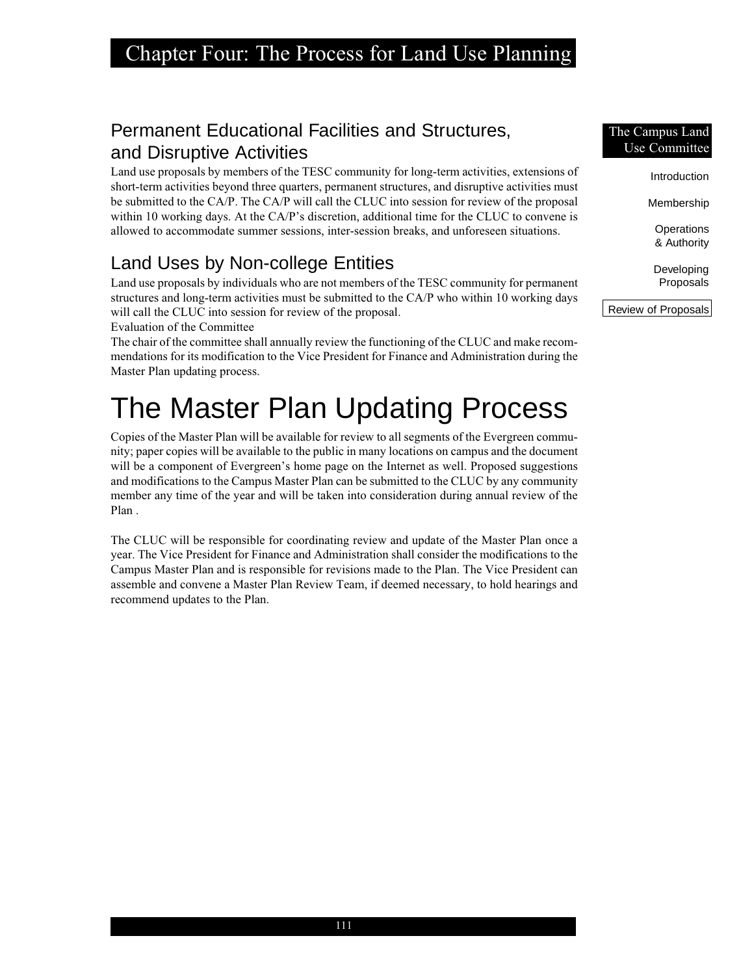### Permanent Educational Facilities and Structures, and Disruptive Activities

Land use proposals by members of the TESC community for long-term activities, extensions of short-term activities beyond three quarters, permanent structures, and disruptive activities must be submitted to the CA/P. The CA/P will call the CLUC into session for review of the proposal within 10 working days. At the CA/P's discretion, additional time for the CLUC to convene is allowed to accommodate summer sessions, inter-session breaks, and unforeseen situations.

### Land Uses by Non-college Entities

Land use proposals by individuals who are not members of the TESC community for permanent structures and long-term activities must be submitted to the CA/P who within 10 working days will call the CLUC into session for review of the proposal.

Evaluation of the Committee

The chair of the committee shall annually review the functioning of the CLUC and make recommendations for its modification to the Vice President for Finance and Administration during the Master Plan updating process.

# The Master Plan Updating Process

Copies of the Master Plan will be available for review to all segments of the Evergreen community; paper copies will be available to the public in many locations on campus and the document will be a component of Evergreen's home page on the Internet as well. Proposed suggestions and modifications to the Campus Master Plan can be submitted to the CLUC by any community member any time of the year and will be taken into consideration during annual review of the Plan .

The CLUC will be responsible for coordinating review and update of the Master Plan once a year. The Vice President for Finance and Administration shall consider the modifications to the Campus Master Plan and is responsible for revisions made to the Plan. The Vice President can assemble and convene a Master Plan Review Team, if deemed necessary, to hold hearings and recommend updates to the Plan.

#### The Campus Land Use Committee

Introduction

Membership

**Operations** & Authority

Developing Proposals

Review of Proposals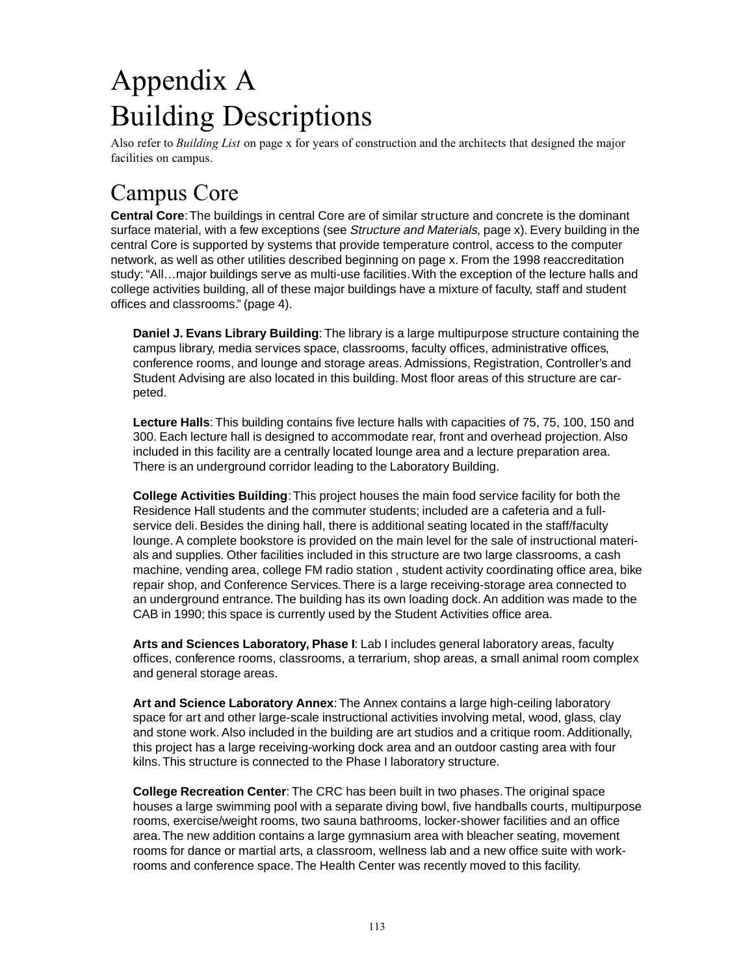## Appendix A Building Descriptions

Also refer to *Building List* on page x for years of construction and the architects that designed the major facilities on campus.

### Campus Core

**Central Core**: The buildings in central Core are of similar structure and concrete is the dominant surface material, with a few exceptions (see Structure and Materials, page x). Every building in the central Core is supported by systems that provide temperature control, access to the computer network, as well as other utilities described beginning on page x. From the 1998 reaccreditation study: "All…major buildings serve as multi-use facilities. With the exception of the lecture halls and college activities building, all of these major buildings have a mixture of faculty, staff and student offices and classrooms." (page 4).

**Daniel J. Evans Library Building**: The library is a large multipurpose structure containing the campus library, media services space, classrooms, faculty offices, administrative offices, conference rooms, and lounge and storage areas. Admissions, Registration, Controller's and Student Advising are also located in this building. Most floor areas of this structure are carpeted.

**Lecture Halls**: This building contains five lecture halls with capacities of 75, 75, 100, 150 and 300. Each lecture hall is designed to accommodate rear, front and overhead projection. Also included in this facility are a centrally located lounge area and a lecture preparation area. There is an underground corridor leading to the Laboratory Building.

**College Activities Building**: This project houses the main food service facility for both the Residence Hall students and the commuter students; included are a cafeteria and a fullservice deli. Besides the dining hall, there is additional seating located in the staff/faculty lounge. A complete bookstore is provided on the main level for the sale of instructional materials and supplies. Other facilities included in this structure are two large classrooms, a cash machine, vending area, college FM radio station , student activity coordinating office area, bike repair shop, and Conference Services. There is a large receiving-storage area connected to an underground entrance. The building has its own loading dock. An addition was made to the CAB in 1990; this space is currently used by the Student Activities office area.

**Arts and Sciences Laboratory, Phase I**: Lab I includes general laboratory areas, faculty offices, conference rooms, classrooms, a terrarium, shop areas, a small animal room complex and general storage areas.

**Art and Science Laboratory Annex**: The Annex contains a large high-ceiling laboratory space for art and other large-scale instructional activities involving metal, wood, glass, clay and stone work. Also included in the building are art studios and a critique room. Additionally, this project has a large receiving-working dock area and an outdoor casting area with four kilns. This structure is connected to the Phase I laboratory structure.

**College Recreation Center**: The CRC has been built in two phases. The original space houses a large swimming pool with a separate diving bowl, five handballs courts, multipurpose rooms, exercise/weight rooms, two sauna bathrooms, locker-shower facilities and an office area. The new addition contains a large gymnasium area with bleacher seating, movement rooms for dance or martial arts, a classroom, wellness lab and a new office suite with workrooms and conference space. The Health Center was recently moved to this facility.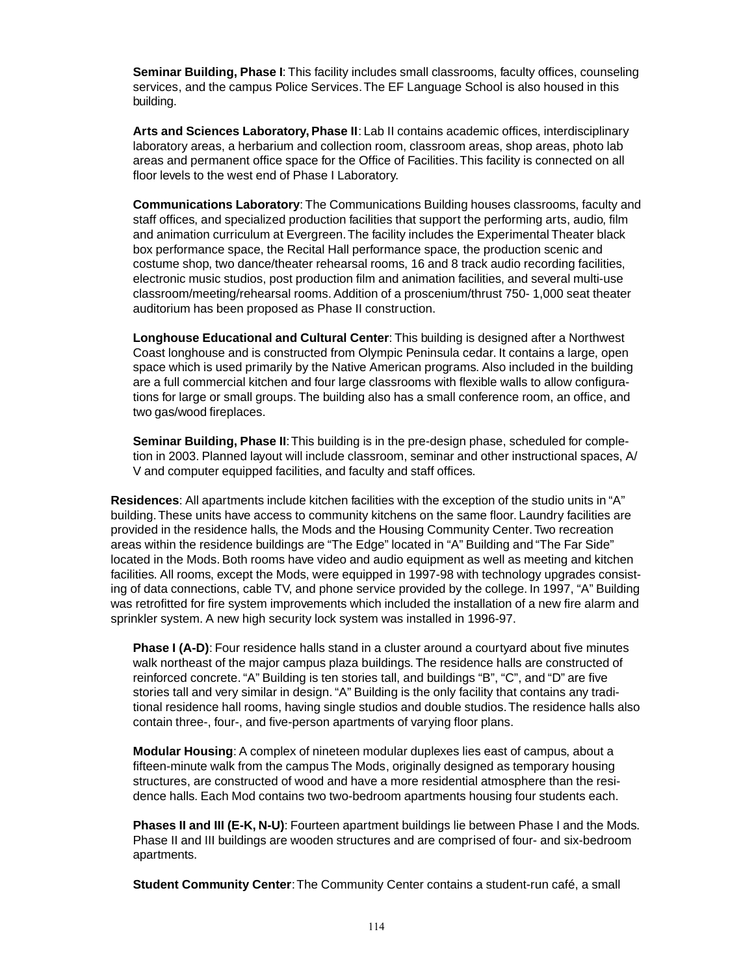**Seminar Building, Phase I**: This facility includes small classrooms, faculty offices, counseling services, and the campus Police Services. The EF Language School is also housed in this building.

**Arts and Sciences Laboratory, Phase II**: Lab II contains academic offices, interdisciplinary laboratory areas, a herbarium and collection room, classroom areas, shop areas, photo lab areas and permanent office space for the Office of Facilities. This facility is connected on all floor levels to the west end of Phase I Laboratory.

**Communications Laboratory**: The Communications Building houses classrooms, faculty and staff offices, and specialized production facilities that support the performing arts, audio, film and animation curriculum at Evergreen. The facility includes the Experimental Theater black box performance space, the Recital Hall performance space, the production scenic and costume shop, two dance/theater rehearsal rooms, 16 and 8 track audio recording facilities, electronic music studios, post production film and animation facilities, and several multi-use classroom/meeting/rehearsal rooms. Addition of a proscenium/thrust 750- 1,000 seat theater auditorium has been proposed as Phase II construction.

**Longhouse Educational and Cultural Center**: This building is designed after a Northwest Coast longhouse and is constructed from Olympic Peninsula cedar. It contains a large, open space which is used primarily by the Native American programs. Also included in the building are a full commercial kitchen and four large classrooms with flexible walls to allow configurations for large or small groups. The building also has a small conference room, an office, and two gas/wood fireplaces.

**Seminar Building, Phase II**: This building is in the pre-design phase, scheduled for completion in 2003. Planned layout will include classroom, seminar and other instructional spaces, A/ V and computer equipped facilities, and faculty and staff offices.

**Residences**: All apartments include kitchen facilities with the exception of the studio units in "A" building. These units have access to community kitchens on the same floor. Laundry facilities are provided in the residence halls, the Mods and the Housing Community Center. Two recreation areas within the residence buildings are "The Edge" located in "A" Building and "The Far Side" located in the Mods. Both rooms have video and audio equipment as well as meeting and kitchen facilities. All rooms, except the Mods, were equipped in 1997-98 with technology upgrades consisting of data connections, cable TV, and phone service provided by the college. In 1997, "A" Building was retrofitted for fire system improvements which included the installation of a new fire alarm and sprinkler system. A new high security lock system was installed in 1996-97.

**Phase I (A-D)**: Four residence halls stand in a cluster around a courtyard about five minutes walk northeast of the major campus plaza buildings. The residence halls are constructed of reinforced concrete. "A" Building is ten stories tall, and buildings "B", "C", and "D" are five stories tall and very similar in design. "A" Building is the only facility that contains any traditional residence hall rooms, having single studios and double studios. The residence halls also contain three-, four-, and five-person apartments of varying floor plans.

**Modular Housing**: A complex of nineteen modular duplexes lies east of campus, about a fifteen-minute walk from the campus The Mods, originally designed as temporary housing structures, are constructed of wood and have a more residential atmosphere than the residence halls. Each Mod contains two two-bedroom apartments housing four students each.

**Phases II and III (E-K, N-U)**: Fourteen apartment buildings lie between Phase I and the Mods. Phase II and III buildings are wooden structures and are comprised of four- and six-bedroom apartments.

**Student Community Center**: The Community Center contains a student-run café, a small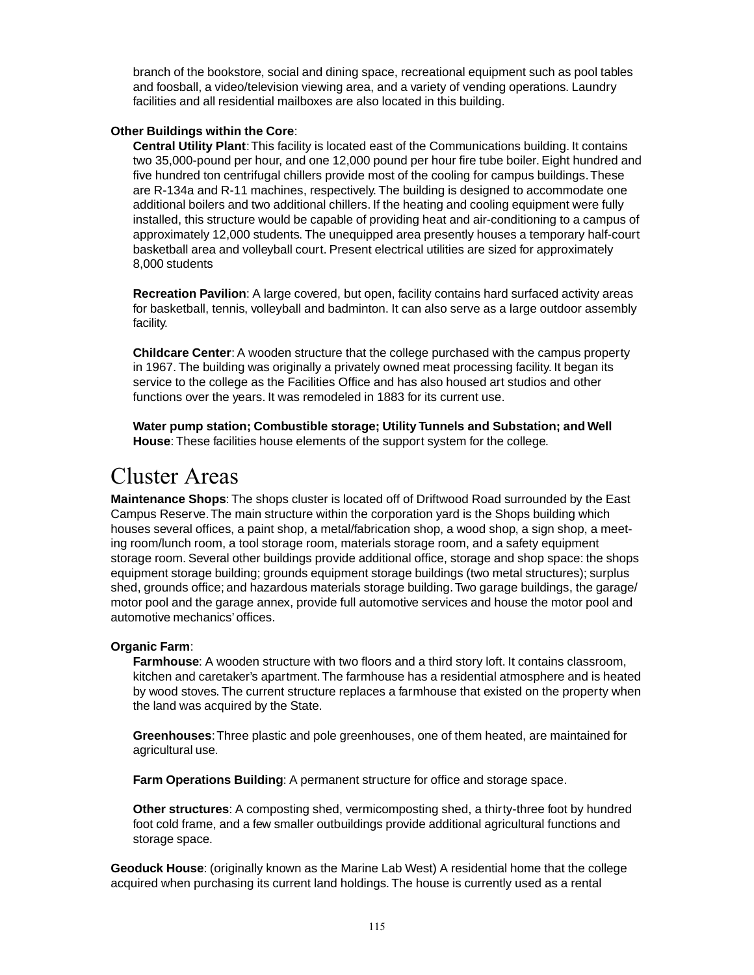branch of the bookstore, social and dining space, recreational equipment such as pool tables and foosball, a video/television viewing area, and a variety of vending operations. Laundry facilities and all residential mailboxes are also located in this building.

#### **Other Buildings within the Core**:

**Central Utility Plant**: This facility is located east of the Communications building. It contains two 35,000-pound per hour, and one 12,000 pound per hour fire tube boiler. Eight hundred and five hundred ton centrifugal chillers provide most of the cooling for campus buildings. These are R-134a and R-11 machines, respectively. The building is designed to accommodate one additional boilers and two additional chillers. If the heating and cooling equipment were fully installed, this structure would be capable of providing heat and air-conditioning to a campus of approximately 12,000 students. The unequipped area presently houses a temporary half-court basketball area and volleyball court. Present electrical utilities are sized for approximately 8,000 students

**Recreation Pavilion**: A large covered, but open, facility contains hard surfaced activity areas for basketball, tennis, volleyball and badminton. It can also serve as a large outdoor assembly facility.

**Childcare Center**: A wooden structure that the college purchased with the campus property in 1967. The building was originally a privately owned meat processing facility. It began its service to the college as the Facilities Office and has also housed art studios and other functions over the years. It was remodeled in 1883 for its current use.

**Water pump station; Combustible storage; Utility Tunnels and Substation; and Well House**: These facilities house elements of the support system for the college.

### Cluster Areas

**Maintenance Shops**: The shops cluster is located off of Driftwood Road surrounded by the East Campus Reserve. The main structure within the corporation yard is the Shops building which houses several offices, a paint shop, a metal/fabrication shop, a wood shop, a sign shop, a meeting room/lunch room, a tool storage room, materials storage room, and a safety equipment storage room. Several other buildings provide additional office, storage and shop space: the shops equipment storage building; grounds equipment storage buildings (two metal structures); surplus shed, grounds office; and hazardous materials storage building. Two garage buildings, the garage/ motor pool and the garage annex, provide full automotive services and house the motor pool and automotive mechanics' offices.

#### **Organic Farm**:

**Farmhouse**: A wooden structure with two floors and a third story loft. It contains classroom, kitchen and caretaker's apartment. The farmhouse has a residential atmosphere and is heated by wood stoves. The current structure replaces a farmhouse that existed on the property when the land was acquired by the State.

**Greenhouses**: Three plastic and pole greenhouses, one of them heated, are maintained for agricultural use.

**Farm Operations Building**: A permanent structure for office and storage space.

**Other structures**: A composting shed, vermicomposting shed, a thirty-three foot by hundred foot cold frame, and a few smaller outbuildings provide additional agricultural functions and storage space.

**Geoduck House**: (originally known as the Marine Lab West) A residential home that the college acquired when purchasing its current land holdings. The house is currently used as a rental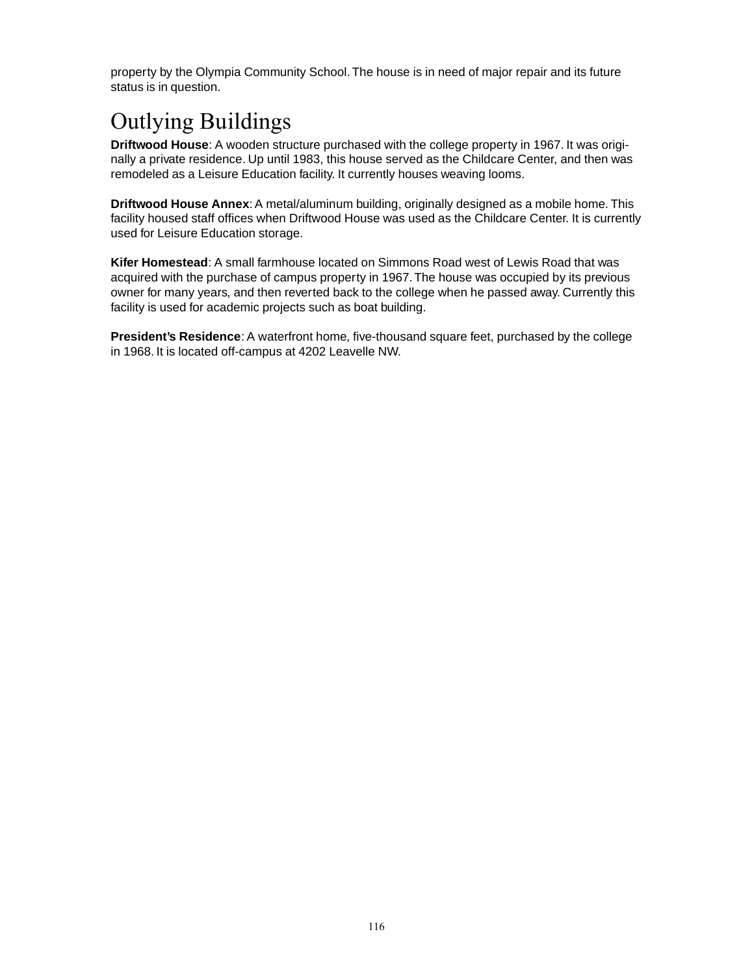property by the Olympia Community School. The house is in need of major repair and its future status is in question.

## Outlying Buildings

**Driftwood House**: A wooden structure purchased with the college property in 1967. It was originally a private residence. Up until 1983, this house served as the Childcare Center, and then was remodeled as a Leisure Education facility. It currently houses weaving looms.

**Driftwood House Annex**: A metal/aluminum building, originally designed as a mobile home. This facility housed staff offices when Driftwood House was used as the Childcare Center. It is currently used for Leisure Education storage.

**Kifer Homestead**: A small farmhouse located on Simmons Road west of Lewis Road that was acquired with the purchase of campus property in 1967. The house was occupied by its previous owner for many years, and then reverted back to the college when he passed away. Currently this facility is used for academic projects such as boat building.

**President's Residence**: A waterfront home, five-thousand square feet, purchased by the college in 1968. It is located off-campus at 4202 Leavelle NW.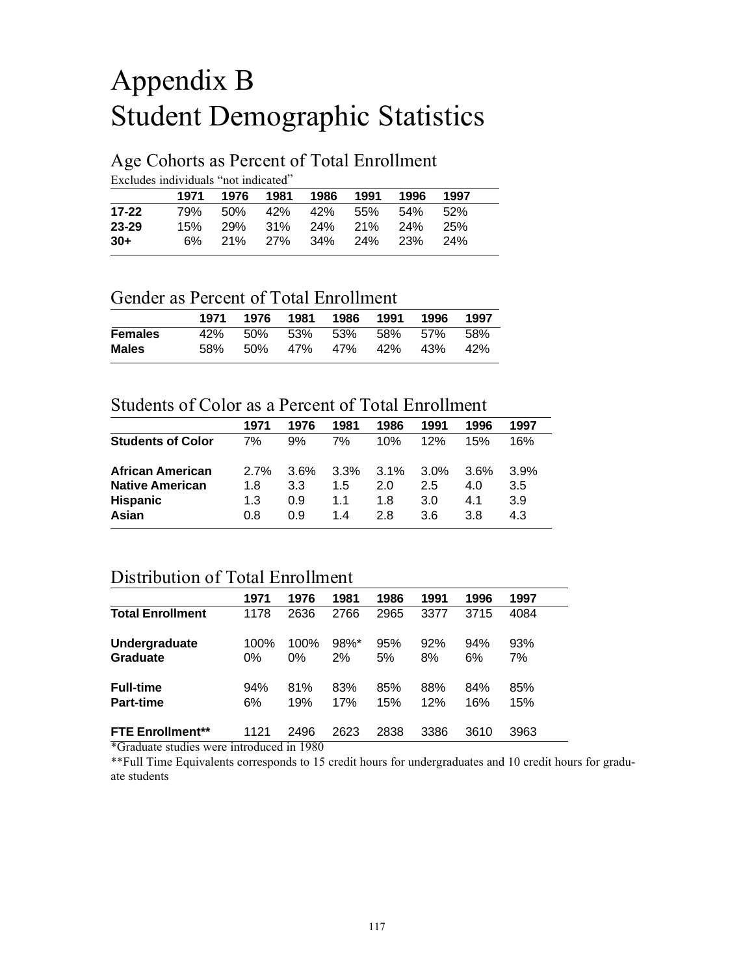## Appendix B Student Demographic Statistics

#### Age Cohorts as Percent of Total Enrollment

Excludes individuals "not indicated"

|           |     | 1971 1976 1981 1986 |  | 1991 | 1996                    | 1997 |  |
|-----------|-----|---------------------|--|------|-------------------------|------|--|
| 17-22     | 79% |                     |  |      | 50% 42% 42% 55% 54% 52% |      |  |
| $23 - 29$ | 15% |                     |  |      | 29% 31% 24% 21% 24% 25% |      |  |
| $30+$     | 6%  |                     |  |      | 21% 27% 34% 24% 23% 24% |      |  |

#### Gender as Percent of Total Enrollment

| 58% |  |  | 42%                                                                                      |
|-----|--|--|------------------------------------------------------------------------------------------|
|     |  |  | 1971 1976 1981 1986 1991 1996 1997<br>42% 50% 53% 53% 58% 57% 58%<br>50% 47% 47% 42% 43% |

#### Students of Color as a Percent of Total Enrollment

| 1971 | 1976 | 1981 | 1986    | 1991 | 1996 | 1997 |
|------|------|------|---------|------|------|------|
| 7%   | 9%   | 7%   | 10%     | 12%  | 15%  | 16%  |
| 2.7% | 3.6% | 3.3% | $3.1\%$ | 3.0% | 3.6% | 3.9% |
| 1.8  | 3.3  | 1.5  | 20      | 25   | 4.0  | 3.5  |
| 1.3  | 0.9  | 1.1  | 18      | 3.0  | 4.1  | 3.9  |
| 0.8  | 0.9  | 1.4  | 28      | 3.6  | 3.8  | 4.3  |
|      |      |      |         |      |      |      |

#### Distribution of Total Enrollment

|                                                             | 1971       | 1976                    | 1981           | 1986       | 1991       | 1996       | 1997       |  |
|-------------------------------------------------------------|------------|-------------------------|----------------|------------|------------|------------|------------|--|
| <b>Total Enrollment</b>                                     | 1178       | 2636                    | 2766           | 2965       | 3377       | 3715       | 4084       |  |
| Undergraduate<br>Graduate                                   | 100%<br>0% | 100%<br>$0\%$           | $98\%$ *<br>2% | 95%<br>5%  | 92%<br>8%  | 94%<br>6%  | 93%<br>7%  |  |
| <b>Full-time</b><br><b>Part-time</b>                        | 94%<br>6%  | 81%<br>19%              | 83%<br>17%     | 85%<br>15% | 88%<br>12% | 84%<br>16% | 85%<br>15% |  |
| <b>FTE Enrollment**</b><br>$\sqrt{2}$ $\sqrt{1}$ $\sqrt{1}$ | 1121       | 2496<br>$\cdot$<br>1000 | 2623           | 2838       | 3386       | 3610       | 3963       |  |

\*Graduate studies were introduced in 1980

\*\*Full Time Equivalents corresponds to 15 credit hours for undergraduates and 10 credit hours for graduate students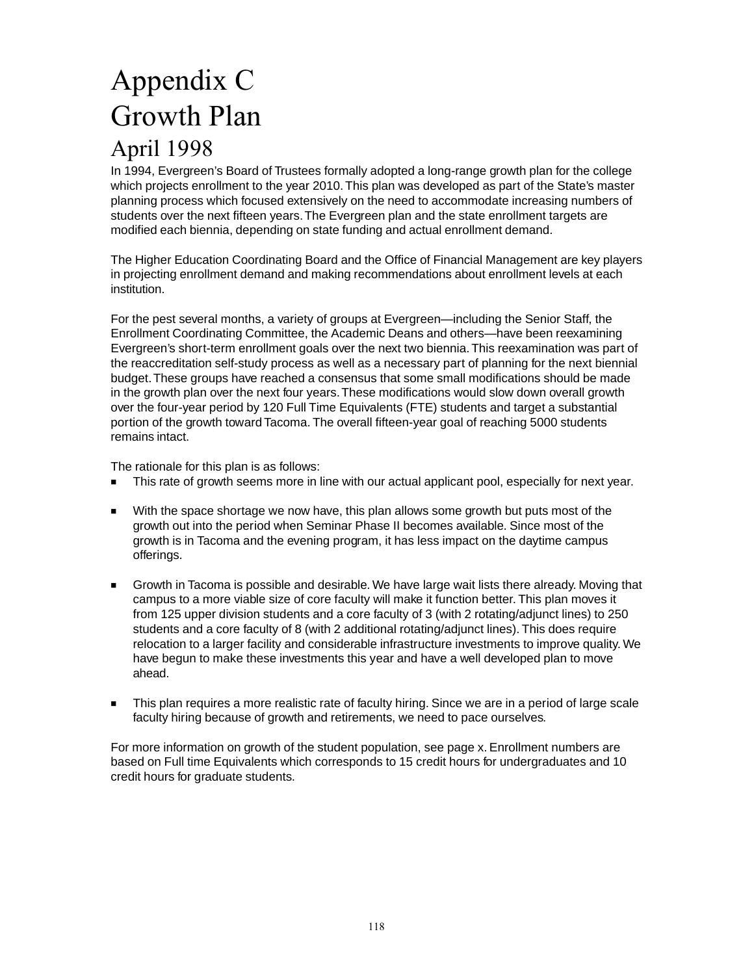## Appendix C Growth Plan April 1998

In 1994, Evergreen's Board of Trustees formally adopted a long-range growth plan for the college which projects enrollment to the year 2010. This plan was developed as part of the State's master planning process which focused extensively on the need to accommodate increasing numbers of students over the next fifteen years. The Evergreen plan and the state enrollment targets are modified each biennia, depending on state funding and actual enrollment demand.

The Higher Education Coordinating Board and the Office of Financial Management are key players in projecting enrollment demand and making recommendations about enrollment levels at each institution.

For the pest several months, a variety of groups at Evergreen—including the Senior Staff, the Enrollment Coordinating Committee, the Academic Deans and others—have been reexamining Evergreen's short-term enrollment goals over the next two biennia. This reexamination was part of the reaccreditation self-study process as well as a necessary part of planning for the next biennial budget. These groups have reached a consensus that some small modifications should be made in the growth plan over the next four years. These modifications would slow down overall growth over the four-year period by 120 Full Time Equivalents (FTE) students and target a substantial portion of the growth toward Tacoma. The overall fifteen-year goal of reaching 5000 students remains intact.

The rationale for this plan is as follows:

- This rate of growth seems more in line with our actual applicant pool, especially for next year.
- With the space shortage we now have, this plan allows some growth but puts most of the growth out into the period when Seminar Phase II becomes available. Since most of the growth is in Tacoma and the evening program, it has less impact on the daytime campus offerings.
- Growth in Tacoma is possible and desirable. We have large wait lists there already. Moving that campus to a more viable size of core faculty will make it function better. This plan moves it from 125 upper division students and a core faculty of 3 (with 2 rotating/adjunct lines) to 250 students and a core faculty of 8 (with 2 additional rotating/adjunct lines). This does require relocation to a larger facility and considerable infrastructure investments to improve quality. We have begun to make these investments this year and have a well developed plan to move ahead.
- This plan requires a more realistic rate of faculty hiring. Since we are in a period of large scale faculty hiring because of growth and retirements, we need to pace ourselves.

For more information on growth of the student population, see page x. Enrollment numbers are based on Full time Equivalents which corresponds to 15 credit hours for undergraduates and 10 credit hours for graduate students.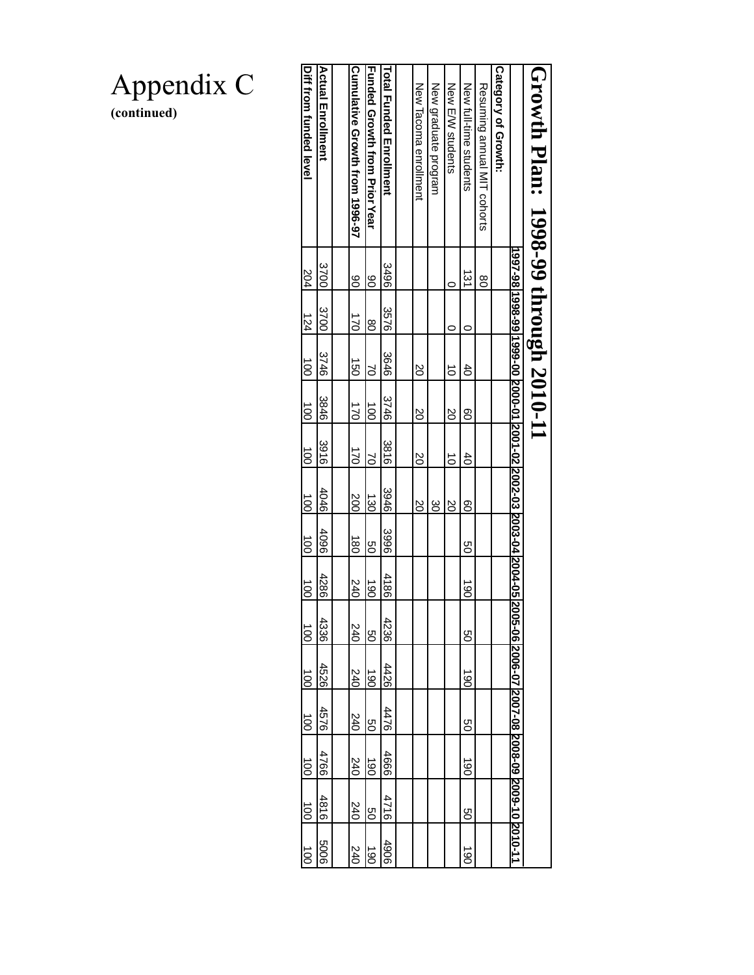|          |                     |                 |                 |                         | 1997-98 1998-99 1999-00  2000-01 2001-02 2002-03  2003-04 2004-05 20 |                 |                      |      | 05-06 2006-07 2007-08 2008-09 2009-10 2010-11 |      |                    |      |                      |
|----------|---------------------|-----------------|-----------------|-------------------------|----------------------------------------------------------------------|-----------------|----------------------|------|-----------------------------------------------|------|--------------------|------|----------------------|
|          |                     |                 |                 |                         |                                                                      |                 |                      |      |                                               |      |                    |      |                      |
|          |                     |                 |                 |                         |                                                                      |                 |                      |      |                                               |      |                    |      |                      |
| g        |                     |                 |                 |                         |                                                                      |                 |                      |      |                                               |      |                    |      |                      |
| 131      | c                   | $\ddot{d}$      | $\overline{8}$  | $\ddot{d}$              | <u>၀</u>                                                             | g               | $\overrightarrow{6}$ | g    | <u>යි</u>                                     | 9g   | ဒြ                 | 9g   | $\overrightarrow{0}$ |
| C        | C                   | $\vec{0}$       | <b>SO</b>       | ਠੋ                      | $\overline{0}$                                                       |                 |                      |      |                                               |      |                    |      |                      |
|          |                     |                 |                 |                         | ဗ္ထ                                                                  |                 |                      |      |                                               |      |                    |      |                      |
|          |                     | SQ              | SO              | $\overline{\mathrm{S}}$ | $\overline{\text{S}}$                                                |                 |                      |      |                                               |      |                    |      |                      |
|          |                     |                 |                 |                         |                                                                      |                 |                      |      |                                               |      |                    |      |                      |
|          |                     | 3646            | 3746            | 3816                    | 3946                                                                 | 3996            | 4186                 | 4236 | 4426                                          | 4476 | 4666               | 4716 | 906                  |
| 8        | $\overline{8}$      | S               | $\overline{5}$  | S)                      | $\frac{1}{20}$                                                       | go              | $\frac{190}{}$       | g    | $\overline{061}$                              | g    | $\vec{\mathbb{8}}$ | g    | థె                   |
| <u>8</u> | こ                   | $\vec{5}$       | 52              | こ                       | 200                                                                  | $\vec{8}$       | 240                  | 240  | 240                                           | 240  | 240                | 240  | 240                  |
|          |                     |                 |                 |                         |                                                                      |                 |                      |      |                                               |      |                    |      |                      |
|          | 3700                | 31/46           | 3846            | 39168                   | 4046                                                                 | 960#            | 4286                 | 4336 | 4526                                          | 9297 | 4766               | 4816 | 9009                 |
|          | 124                 | $\frac{100}{1}$ | $\frac{100}{1}$ | $\frac{100}{1}$         | $\frac{100}{10}$                                                     | $\frac{100}{2}$ | $\frac{100}{1}$      |      |                                               |      |                    |      |                      |
|          | 3700<br>3496<br>204 | 3256            |                 |                         |                                                                      |                 |                      |      |                                               |      |                    |      |                      |

Appendix C **(continued)**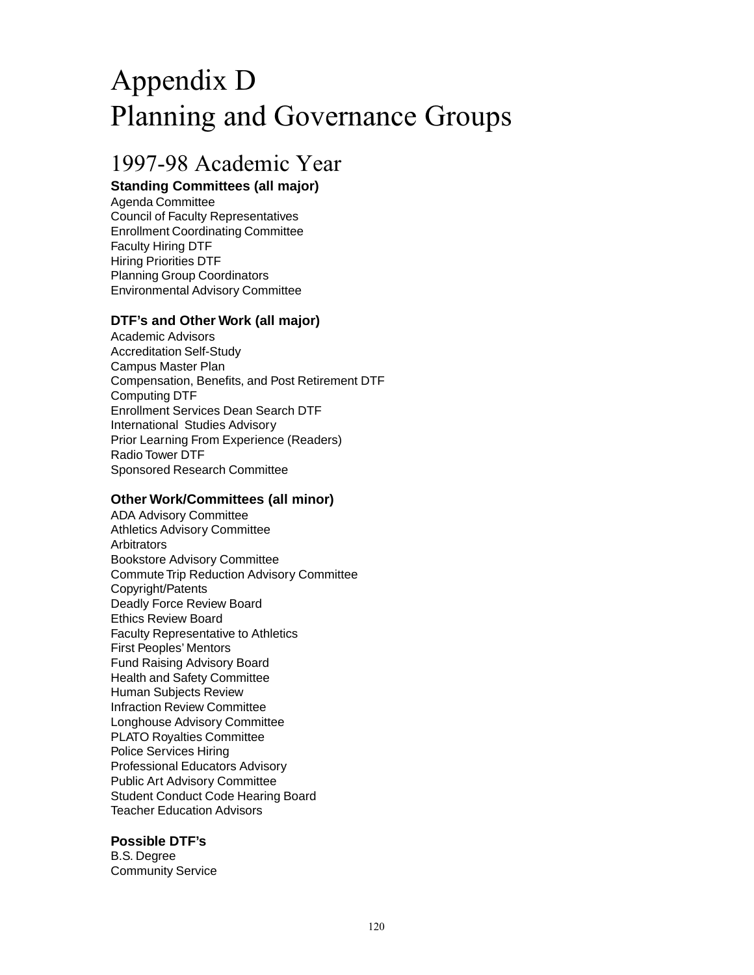## Appendix D Planning and Governance Groups

### 1997-98 Academic Year

#### **Standing Committees (all major)**

Agenda Committee Council of Faculty Representatives Enrollment Coordinating Committee Faculty Hiring DTF Hiring Priorities DTF Planning Group Coordinators Environmental Advisory Committee

#### **DTF's and Other Work (all major)**

Academic Advisors Accreditation Self-Study Campus Master Plan Compensation, Benefits, and Post Retirement DTF Computing DTF Enrollment Services Dean Search DTF International Studies Advisory Prior Learning From Experience (Readers) Radio Tower DTF Sponsored Research Committee

#### **Other Work/Committees (all minor)**

ADA Advisory Committee Athletics Advisory Committee **Arbitrators** Bookstore Advisory Committee Commute Trip Reduction Advisory Committee Copyright/Patents Deadly Force Review Board Ethics Review Board Faculty Representative to Athletics First Peoples' Mentors Fund Raising Advisory Board Health and Safety Committee Human Subjects Review Infraction Review Committee Longhouse Advisory Committee PLATO Royalties Committee Police Services Hiring Professional Educators Advisory Public Art Advisory Committee Student Conduct Code Hearing Board Teacher Education Advisors

#### **Possible DTF's**

B.S. Degree Community Service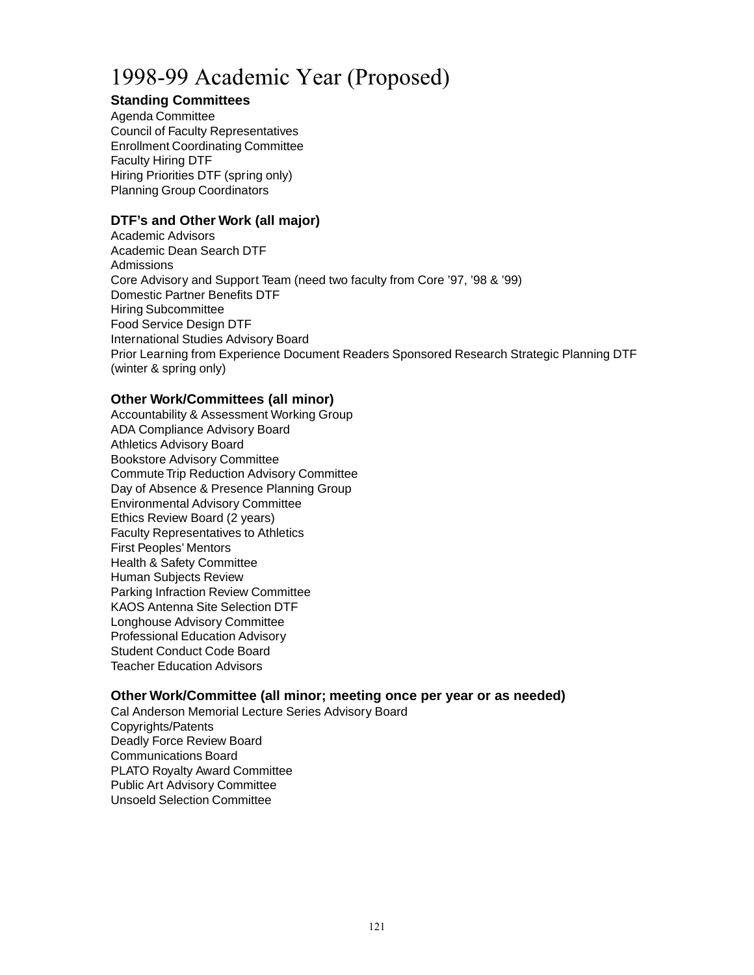### 1998-99 Academic Year (Proposed)

#### **Standing Committees**

Agenda Committee Council of Faculty Representatives Enrollment Coordinating Committee Faculty Hiring DTF Hiring Priorities DTF (spring only) Planning Group Coordinators

#### **DTF's and Other Work (all major)**

Academic Advisors Academic Dean Search DTF **Admissions** Core Advisory and Support Team (need two faculty from Core '97, '98 & '99) Domestic Partner Benefits DTF Hiring Subcommittee Food Service Design DTF International Studies Advisory Board Prior Learning from Experience Document Readers Sponsored Research Strategic Planning DTF (winter & spring only)

#### **Other Work/Committees (all minor)**

Accountability & Assessment Working Group ADA Compliance Advisory Board Athletics Advisory Board Bookstore Advisory Committee Commute Trip Reduction Advisory Committee Day of Absence & Presence Planning Group Environmental Advisory Committee Ethics Review Board (2 years) Faculty Representatives to Athletics First Peoples' Mentors Health & Safety Committee Human Subjects Review Parking Infraction Review Committee KAOS Antenna Site Selection DTF Longhouse Advisory Committee Professional Education Advisory Student Conduct Code Board Teacher Education Advisors

#### **Other Work/Committee (all minor; meeting once per year or as needed)**

Cal Anderson Memorial Lecture Series Advisory Board Copyrights/Patents Deadly Force Review Board Communications Board PLATO Royalty Award Committee Public Art Advisory Committee Unsoeld Selection Committee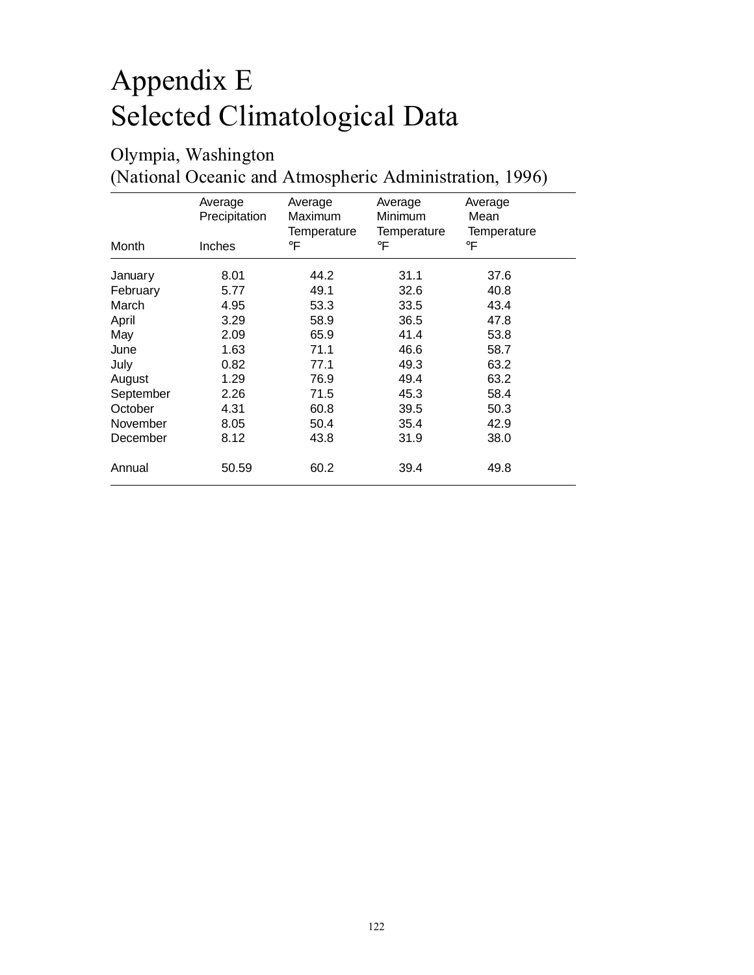## Appendix E Selected Climatological Data

### Olympia, Washington

(National Oceanic and Atmospheric Administration, 1996)

|           | Average<br>Precipitation | Average<br>Maximum | Average<br>Minimum | Average<br>Mean |
|-----------|--------------------------|--------------------|--------------------|-----------------|
|           |                          | Temperature        | Temperature        | Temperature     |
| Month     | <b>Inches</b>            | $\circ$ F          | $\circ$ F          | $\circ$ F       |
| January   | 8.01                     | 44.2               | 31.1               | 37.6            |
| February  | 5.77                     | 49.1               | 32.6               | 40.8            |
| March     | 4.95                     | 53.3               | 33.5               | 43.4            |
| April     | 3.29                     | 58.9               | 36.5               | 47.8            |
| May       | 2.09                     | 65.9               | 41.4               | 53.8            |
| June      | 1.63                     | 71.1               | 46.6               | 58.7            |
| July      | 0.82                     | 77.1               | 49.3               | 63.2            |
| August    | 1.29                     | 76.9               | 49.4               | 63.2            |
| September | 2.26                     | 71.5               | 45.3               | 58.4            |
| October   | 4.31                     | 60.8               | 39.5               | 50.3            |
| November  | 8.05                     | 50.4               | 35.4               | 42.9            |
| December  | 8.12                     | 43.8               | 31.9               | 38.0            |
| Annual    | 50.59                    | 60.2               | 39.4               | 49.8            |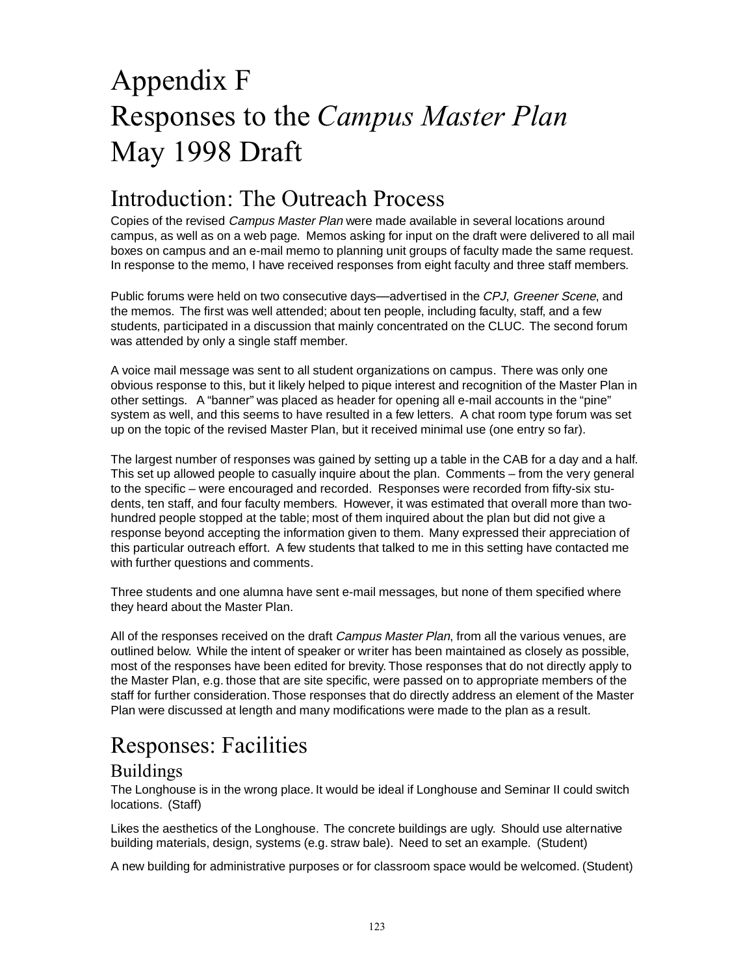## Appendix F Responses to the *Campus Master Plan* May 1998 Draft

### Introduction: The Outreach Process

Copies of the revised Campus Master Plan were made available in several locations around campus, as well as on a web page. Memos asking for input on the draft were delivered to all mail boxes on campus and an e-mail memo to planning unit groups of faculty made the same request. In response to the memo, I have received responses from eight faculty and three staff members.

Public forums were held on two consecutive days—advertised in the CPJ, Greener Scene, and the memos. The first was well attended; about ten people, including faculty, staff, and a few students, participated in a discussion that mainly concentrated on the CLUC. The second forum was attended by only a single staff member.

A voice mail message was sent to all student organizations on campus. There was only one obvious response to this, but it likely helped to pique interest and recognition of the Master Plan in other settings. A "banner" was placed as header for opening all e-mail accounts in the "pine" system as well, and this seems to have resulted in a few letters. A chat room type forum was set up on the topic of the revised Master Plan, but it received minimal use (one entry so far).

The largest number of responses was gained by setting up a table in the CAB for a day and a half. This set up allowed people to casually inquire about the plan. Comments – from the very general to the specific – were encouraged and recorded. Responses were recorded from fifty-six students, ten staff, and four faculty members. However, it was estimated that overall more than twohundred people stopped at the table; most of them inquired about the plan but did not give a response beyond accepting the information given to them. Many expressed their appreciation of this particular outreach effort. A few students that talked to me in this setting have contacted me with further questions and comments.

Three students and one alumna have sent e-mail messages, but none of them specified where they heard about the Master Plan.

All of the responses received on the draft *Campus Master Plan*, from all the various venues, are outlined below. While the intent of speaker or writer has been maintained as closely as possible, most of the responses have been edited for brevity. Those responses that do not directly apply to the Master Plan, e.g. those that are site specific, were passed on to appropriate members of the staff for further consideration. Those responses that do directly address an element of the Master Plan were discussed at length and many modifications were made to the plan as a result.

### Responses: Facilities

#### Buildings

The Longhouse is in the wrong place. It would be ideal if Longhouse and Seminar II could switch locations. (Staff)

Likes the aesthetics of the Longhouse. The concrete buildings are ugly. Should use alternative building materials, design, systems (e.g. straw bale). Need to set an example. (Student)

A new building for administrative purposes or for classroom space would be welcomed. (Student)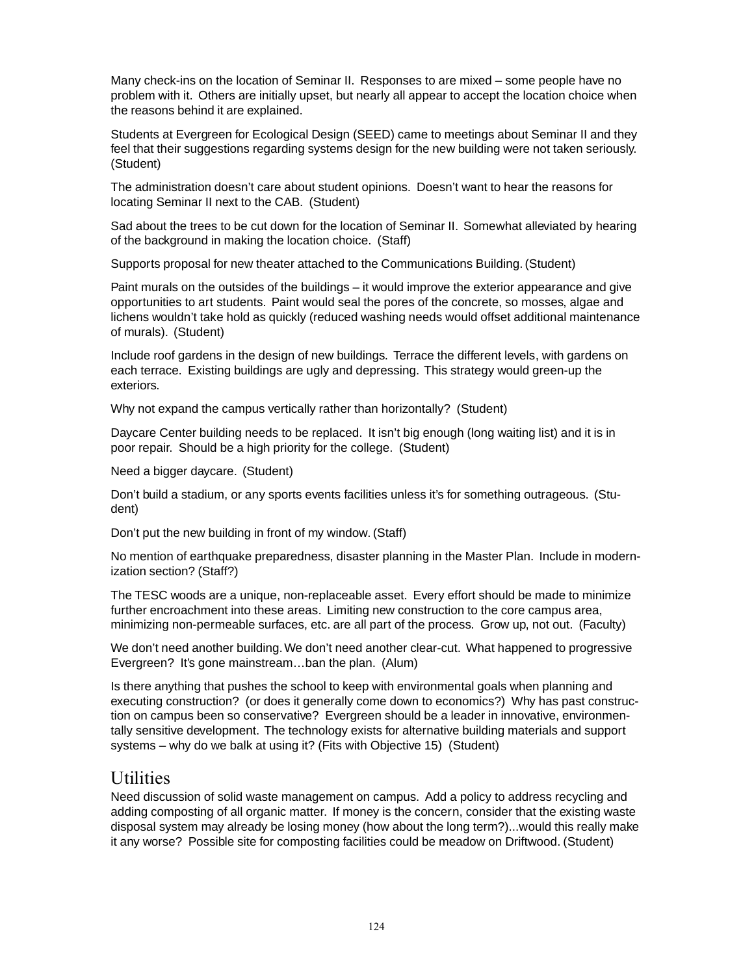Many check-ins on the location of Seminar II. Responses to are mixed – some people have no problem with it. Others are initially upset, but nearly all appear to accept the location choice when the reasons behind it are explained.

Students at Evergreen for Ecological Design (SEED) came to meetings about Seminar II and they feel that their suggestions regarding systems design for the new building were not taken seriously. (Student)

The administration doesn't care about student opinions. Doesn't want to hear the reasons for locating Seminar II next to the CAB. (Student)

Sad about the trees to be cut down for the location of Seminar II. Somewhat alleviated by hearing of the background in making the location choice. (Staff)

Supports proposal for new theater attached to the Communications Building. (Student)

Paint murals on the outsides of the buildings – it would improve the exterior appearance and give opportunities to art students. Paint would seal the pores of the concrete, so mosses, algae and lichens wouldn't take hold as quickly (reduced washing needs would offset additional maintenance of murals). (Student)

Include roof gardens in the design of new buildings. Terrace the different levels, with gardens on each terrace. Existing buildings are ugly and depressing. This strategy would green-up the exteriors.

Why not expand the campus vertically rather than horizontally? (Student)

Daycare Center building needs to be replaced. It isn't big enough (long waiting list) and it is in poor repair. Should be a high priority for the college. (Student)

Need a bigger daycare. (Student)

Don't build a stadium, or any sports events facilities unless it's for something outrageous. (Student)

Don't put the new building in front of my window. (Staff)

No mention of earthquake preparedness, disaster planning in the Master Plan. Include in modernization section? (Staff?)

The TESC woods are a unique, non-replaceable asset. Every effort should be made to minimize further encroachment into these areas. Limiting new construction to the core campus area, minimizing non-permeable surfaces, etc. are all part of the process. Grow up, not out. (Faculty)

We don't need another building. We don't need another clear-cut. What happened to progressive Evergreen? It's gone mainstream…ban the plan. (Alum)

Is there anything that pushes the school to keep with environmental goals when planning and executing construction? (or does it generally come down to economics?) Why has past construction on campus been so conservative? Evergreen should be a leader in innovative, environmentally sensitive development. The technology exists for alternative building materials and support systems – why do we balk at using it? (Fits with Objective 15) (Student)

#### Utilities

Need discussion of solid waste management on campus. Add a policy to address recycling and adding composting of all organic matter. If money is the concern, consider that the existing waste disposal system may already be losing money (how about the long term?)...would this really make it any worse? Possible site for composting facilities could be meadow on Driftwood. (Student)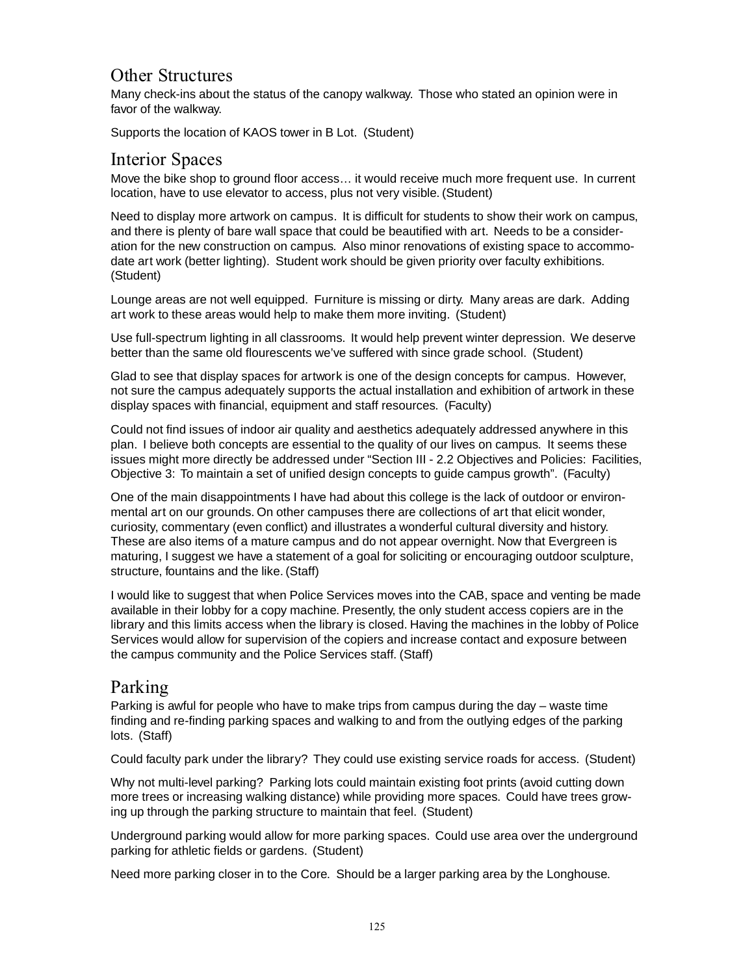#### Other Structures

Many check-ins about the status of the canopy walkway. Those who stated an opinion were in favor of the walkway.

Supports the location of KAOS tower in B Lot. (Student)

#### Interior Spaces

Move the bike shop to ground floor access… it would receive much more frequent use. In current location, have to use elevator to access, plus not very visible. (Student)

Need to display more artwork on campus. It is difficult for students to show their work on campus, and there is plenty of bare wall space that could be beautified with art. Needs to be a consideration for the new construction on campus. Also minor renovations of existing space to accommodate art work (better lighting). Student work should be given priority over faculty exhibitions. (Student)

Lounge areas are not well equipped. Furniture is missing or dirty. Many areas are dark. Adding art work to these areas would help to make them more inviting. (Student)

Use full-spectrum lighting in all classrooms. It would help prevent winter depression. We deserve better than the same old flourescents we've suffered with since grade school. (Student)

Glad to see that display spaces for artwork is one of the design concepts for campus. However, not sure the campus adequately supports the actual installation and exhibition of artwork in these display spaces with financial, equipment and staff resources. (Faculty)

Could not find issues of indoor air quality and aesthetics adequately addressed anywhere in this plan. I believe both concepts are essential to the quality of our lives on campus. It seems these issues might more directly be addressed under "Section III - 2.2 Objectives and Policies: Facilities, Objective 3: To maintain a set of unified design concepts to guide campus growth". (Faculty)

One of the main disappointments I have had about this college is the lack of outdoor or environmental art on our grounds. On other campuses there are collections of art that elicit wonder, curiosity, commentary (even conflict) and illustrates a wonderful cultural diversity and history. These are also items of a mature campus and do not appear overnight. Now that Evergreen is maturing, I suggest we have a statement of a goal for soliciting or encouraging outdoor sculpture, structure, fountains and the like. (Staff)

I would like to suggest that when Police Services moves into the CAB, space and venting be made available in their lobby for a copy machine. Presently, the only student access copiers are in the library and this limits access when the library is closed. Having the machines in the lobby of Police Services would allow for supervision of the copiers and increase contact and exposure between the campus community and the Police Services staff. (Staff)

#### Parking

Parking is awful for people who have to make trips from campus during the day – waste time finding and re-finding parking spaces and walking to and from the outlying edges of the parking lots. (Staff)

Could faculty park under the library? They could use existing service roads for access. (Student)

Why not multi-level parking? Parking lots could maintain existing foot prints (avoid cutting down more trees or increasing walking distance) while providing more spaces. Could have trees growing up through the parking structure to maintain that feel. (Student)

Underground parking would allow for more parking spaces. Could use area over the underground parking for athletic fields or gardens. (Student)

Need more parking closer in to the Core. Should be a larger parking area by the Longhouse.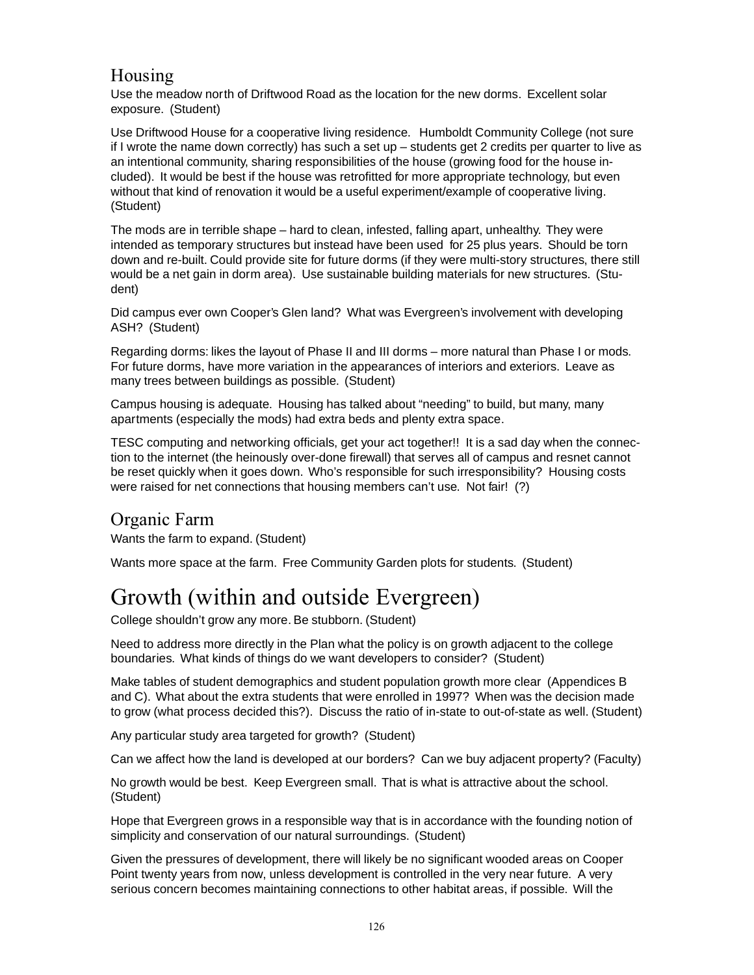#### Housing

Use the meadow north of Driftwood Road as the location for the new dorms. Excellent solar exposure. (Student)

Use Driftwood House for a cooperative living residence. Humboldt Community College (not sure if I wrote the name down correctly) has such a set up – students get 2 credits per quarter to live as an intentional community, sharing responsibilities of the house (growing food for the house included). It would be best if the house was retrofitted for more appropriate technology, but even without that kind of renovation it would be a useful experiment/example of cooperative living. (Student)

The mods are in terrible shape – hard to clean, infested, falling apart, unhealthy. They were intended as temporary structures but instead have been used for 25 plus years. Should be torn down and re-built. Could provide site for future dorms (if they were multi-story structures, there still would be a net gain in dorm area). Use sustainable building materials for new structures. (Student)

Did campus ever own Cooper's Glen land? What was Evergreen's involvement with developing ASH? (Student)

Regarding dorms: likes the layout of Phase II and III dorms – more natural than Phase I or mods. For future dorms, have more variation in the appearances of interiors and exteriors. Leave as many trees between buildings as possible. (Student)

Campus housing is adequate. Housing has talked about "needing" to build, but many, many apartments (especially the mods) had extra beds and plenty extra space.

TESC computing and networking officials, get your act together!! It is a sad day when the connection to the internet (the heinously over-done firewall) that serves all of campus and resnet cannot be reset quickly when it goes down. Who's responsible for such irresponsibility? Housing costs were raised for net connections that housing members can't use. Not fair! (?)

#### Organic Farm

Wants the farm to expand. (Student)

Wants more space at the farm. Free Community Garden plots for students. (Student)

### Growth (within and outside Evergreen)

College shouldn't grow any more. Be stubborn. (Student)

Need to address more directly in the Plan what the policy is on growth adjacent to the college boundaries. What kinds of things do we want developers to consider? (Student)

Make tables of student demographics and student population growth more clear (Appendices B and C). What about the extra students that were enrolled in 1997? When was the decision made to grow (what process decided this?). Discuss the ratio of in-state to out-of-state as well. (Student)

Any particular study area targeted for growth? (Student)

Can we affect how the land is developed at our borders? Can we buy adjacent property? (Faculty)

No growth would be best. Keep Evergreen small. That is what is attractive about the school. (Student)

Hope that Evergreen grows in a responsible way that is in accordance with the founding notion of simplicity and conservation of our natural surroundings. (Student)

Given the pressures of development, there will likely be no significant wooded areas on Cooper Point twenty years from now, unless development is controlled in the very near future. A very serious concern becomes maintaining connections to other habitat areas, if possible. Will the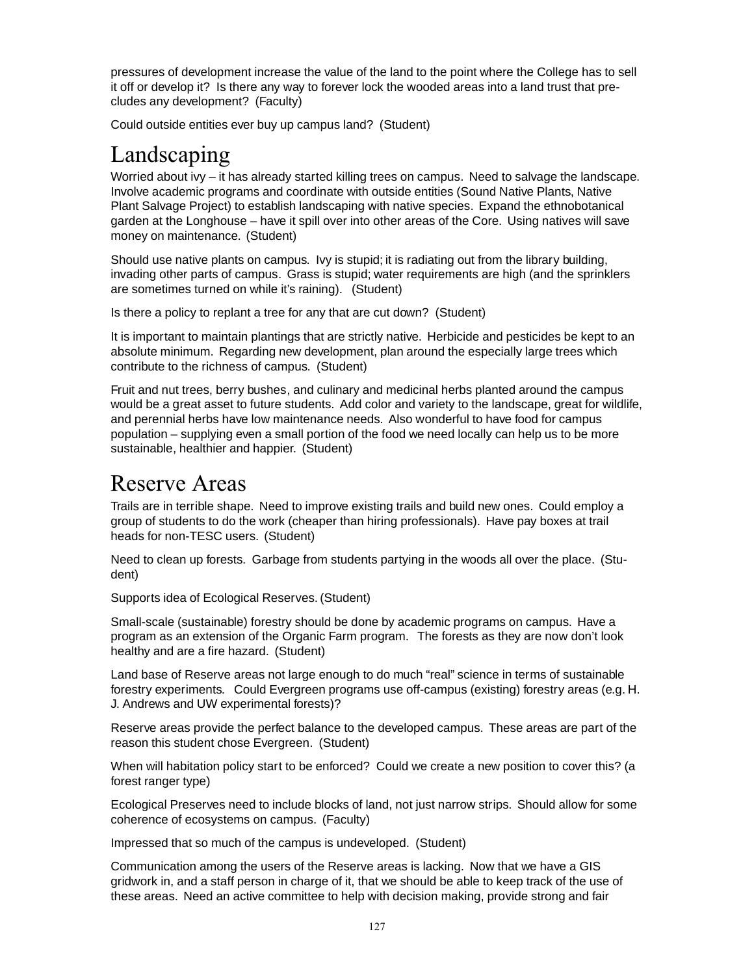pressures of development increase the value of the land to the point where the College has to sell it off or develop it? Is there any way to forever lock the wooded areas into a land trust that precludes any development? (Faculty)

Could outside entities ever buy up campus land? (Student)

### Landscaping

Worried about ivy – it has already started killing trees on campus. Need to salvage the landscape. Involve academic programs and coordinate with outside entities (Sound Native Plants, Native Plant Salvage Project) to establish landscaping with native species. Expand the ethnobotanical garden at the Longhouse – have it spill over into other areas of the Core. Using natives will save money on maintenance. (Student)

Should use native plants on campus. Ivy is stupid; it is radiating out from the library building, invading other parts of campus. Grass is stupid; water requirements are high (and the sprinklers are sometimes turned on while it's raining). (Student)

Is there a policy to replant a tree for any that are cut down? (Student)

It is important to maintain plantings that are strictly native. Herbicide and pesticides be kept to an absolute minimum. Regarding new development, plan around the especially large trees which contribute to the richness of campus. (Student)

Fruit and nut trees, berry bushes, and culinary and medicinal herbs planted around the campus would be a great asset to future students. Add color and variety to the landscape, great for wildlife, and perennial herbs have low maintenance needs. Also wonderful to have food for campus population – supplying even a small portion of the food we need locally can help us to be more sustainable, healthier and happier. (Student)

### Reserve Areas

Trails are in terrible shape. Need to improve existing trails and build new ones. Could employ a group of students to do the work (cheaper than hiring professionals). Have pay boxes at trail heads for non-TESC users. (Student)

Need to clean up forests. Garbage from students partying in the woods all over the place. (Student)

Supports idea of Ecological Reserves. (Student)

Small-scale (sustainable) forestry should be done by academic programs on campus. Have a program as an extension of the Organic Farm program. The forests as they are now don't look healthy and are a fire hazard. (Student)

Land base of Reserve areas not large enough to do much "real" science in terms of sustainable forestry experiments. Could Evergreen programs use off-campus (existing) forestry areas (e.g. H. J. Andrews and UW experimental forests)?

Reserve areas provide the perfect balance to the developed campus. These areas are part of the reason this student chose Evergreen. (Student)

When will habitation policy start to be enforced? Could we create a new position to cover this? (a forest ranger type)

Ecological Preserves need to include blocks of land, not just narrow strips. Should allow for some coherence of ecosystems on campus. (Faculty)

Impressed that so much of the campus is undeveloped. (Student)

Communication among the users of the Reserve areas is lacking. Now that we have a GIS gridwork in, and a staff person in charge of it, that we should be able to keep track of the use of these areas. Need an active committee to help with decision making, provide strong and fair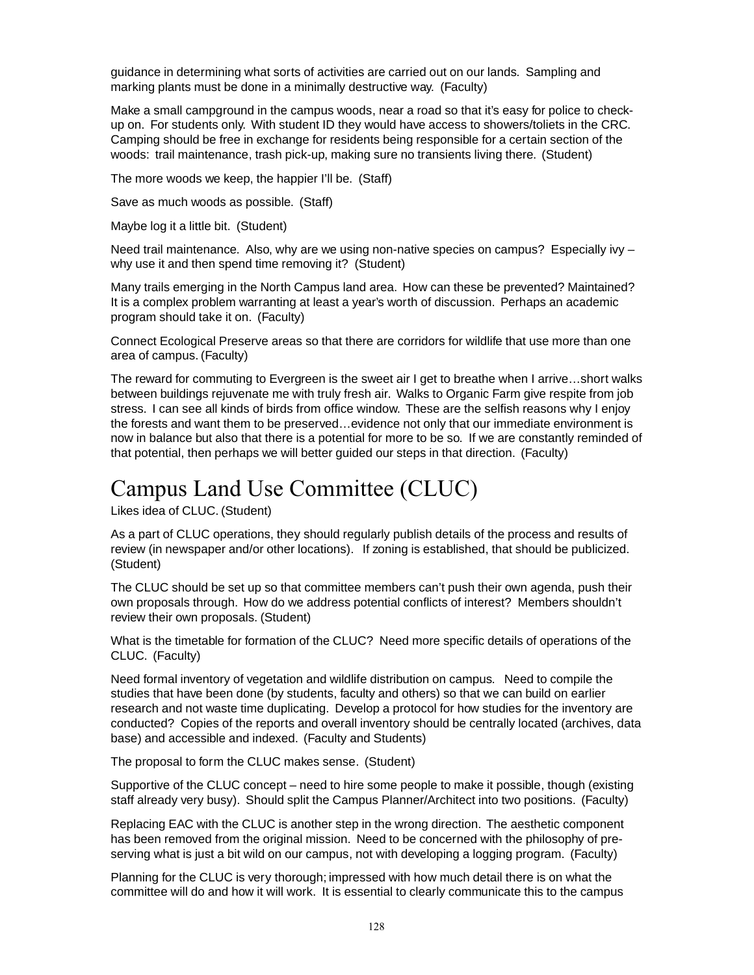guidance in determining what sorts of activities are carried out on our lands. Sampling and marking plants must be done in a minimally destructive way. (Faculty)

Make a small campground in the campus woods, near a road so that it's easy for police to checkup on. For students only. With student ID they would have access to showers/toliets in the CRC. Camping should be free in exchange for residents being responsible for a certain section of the woods: trail maintenance, trash pick-up, making sure no transients living there. (Student)

The more woods we keep, the happier I'll be. (Staff)

Save as much woods as possible. (Staff)

Maybe log it a little bit. (Student)

Need trail maintenance. Also, why are we using non-native species on campus? Especially ivy why use it and then spend time removing it? (Student)

Many trails emerging in the North Campus land area. How can these be prevented? Maintained? It is a complex problem warranting at least a year's worth of discussion. Perhaps an academic program should take it on. (Faculty)

Connect Ecological Preserve areas so that there are corridors for wildlife that use more than one area of campus. (Faculty)

The reward for commuting to Evergreen is the sweet air I get to breathe when I arrive…short walks between buildings rejuvenate me with truly fresh air. Walks to Organic Farm give respite from job stress. I can see all kinds of birds from office window. These are the selfish reasons why I enjoy the forests and want them to be preserved…evidence not only that our immediate environment is now in balance but also that there is a potential for more to be so. If we are constantly reminded of that potential, then perhaps we will better guided our steps in that direction. (Faculty)

### Campus Land Use Committee (CLUC)

Likes idea of CLUC. (Student)

As a part of CLUC operations, they should regularly publish details of the process and results of review (in newspaper and/or other locations). If zoning is established, that should be publicized. (Student)

The CLUC should be set up so that committee members can't push their own agenda, push their own proposals through. How do we address potential conflicts of interest? Members shouldn't review their own proposals. (Student)

What is the timetable for formation of the CLUC? Need more specific details of operations of the CLUC. (Faculty)

Need formal inventory of vegetation and wildlife distribution on campus. Need to compile the studies that have been done (by students, faculty and others) so that we can build on earlier research and not waste time duplicating. Develop a protocol for how studies for the inventory are conducted? Copies of the reports and overall inventory should be centrally located (archives, data base) and accessible and indexed. (Faculty and Students)

The proposal to form the CLUC makes sense. (Student)

Supportive of the CLUC concept – need to hire some people to make it possible, though (existing staff already very busy). Should split the Campus Planner/Architect into two positions. (Faculty)

Replacing EAC with the CLUC is another step in the wrong direction. The aesthetic component has been removed from the original mission. Need to be concerned with the philosophy of preserving what is just a bit wild on our campus, not with developing a logging program. (Faculty)

Planning for the CLUC is very thorough; impressed with how much detail there is on what the committee will do and how it will work. It is essential to clearly communicate this to the campus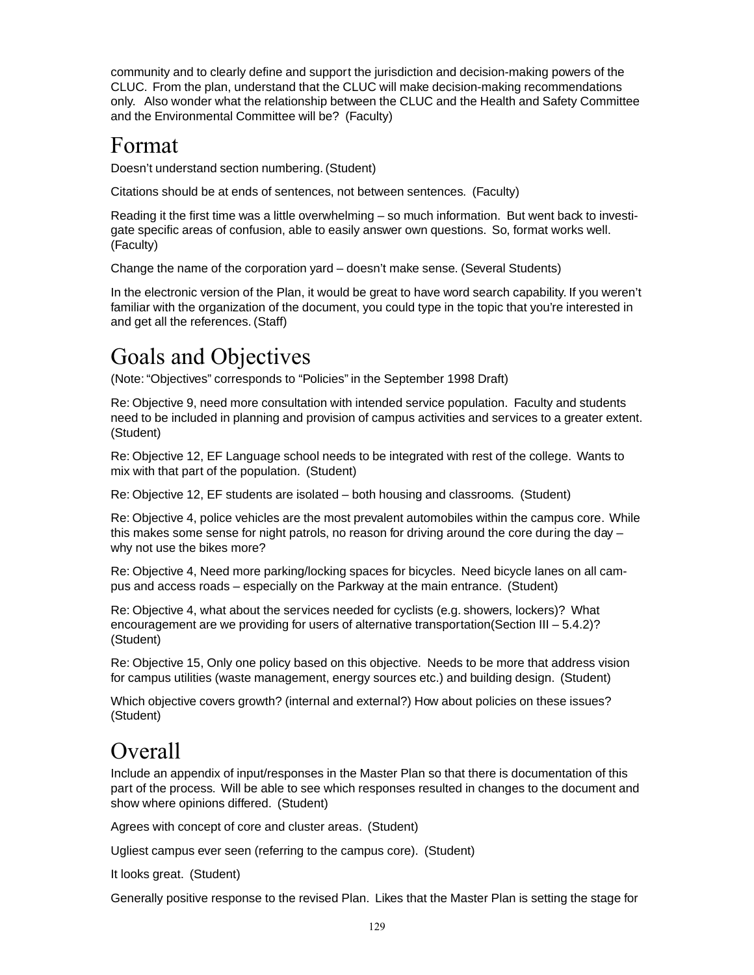community and to clearly define and support the jurisdiction and decision-making powers of the CLUC. From the plan, understand that the CLUC will make decision-making recommendations only. Also wonder what the relationship between the CLUC and the Health and Safety Committee and the Environmental Committee will be? (Faculty)

### Format

Doesn't understand section numbering. (Student)

Citations should be at ends of sentences, not between sentences. (Faculty)

Reading it the first time was a little overwhelming – so much information. But went back to investigate specific areas of confusion, able to easily answer own questions. So, format works well. (Faculty)

Change the name of the corporation yard – doesn't make sense. (Several Students)

In the electronic version of the Plan, it would be great to have word search capability. If you weren't familiar with the organization of the document, you could type in the topic that you're interested in and get all the references. (Staff)

### Goals and Objectives

(Note: "Objectives" corresponds to "Policies" in the September 1998 Draft)

Re: Objective 9, need more consultation with intended service population. Faculty and students need to be included in planning and provision of campus activities and services to a greater extent. (Student)

Re: Objective 12, EF Language school needs to be integrated with rest of the college. Wants to mix with that part of the population. (Student)

Re: Objective 12, EF students are isolated – both housing and classrooms. (Student)

Re: Objective 4, police vehicles are the most prevalent automobiles within the campus core. While this makes some sense for night patrols, no reason for driving around the core during the day – why not use the bikes more?

Re: Objective 4, Need more parking/locking spaces for bicycles. Need bicycle lanes on all campus and access roads – especially on the Parkway at the main entrance. (Student)

Re: Objective 4, what about the services needed for cyclists (e.g. showers, lockers)? What encouragement are we providing for users of alternative transportation(Section III – 5.4.2)? (Student)

Re: Objective 15, Only one policy based on this objective. Needs to be more that address vision for campus utilities (waste management, energy sources etc.) and building design. (Student)

Which objective covers growth? (internal and external?) How about policies on these issues? (Student)

### **Overall**

Include an appendix of input/responses in the Master Plan so that there is documentation of this part of the process. Will be able to see which responses resulted in changes to the document and show where opinions differed. (Student)

Agrees with concept of core and cluster areas. (Student)

Ugliest campus ever seen (referring to the campus core). (Student)

It looks great. (Student)

Generally positive response to the revised Plan. Likes that the Master Plan is setting the stage for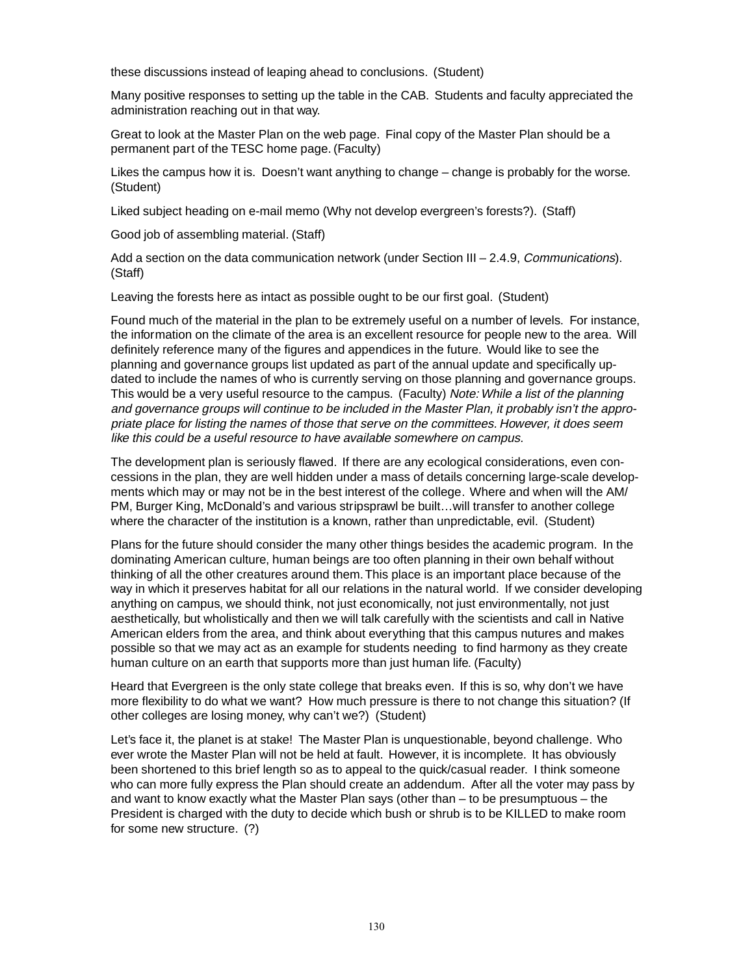these discussions instead of leaping ahead to conclusions. (Student)

Many positive responses to setting up the table in the CAB. Students and faculty appreciated the administration reaching out in that way.

Great to look at the Master Plan on the web page. Final copy of the Master Plan should be a permanent part of the TESC home page. (Faculty)

Likes the campus how it is. Doesn't want anything to change – change is probably for the worse. (Student)

Liked subject heading on e-mail memo (Why not develop evergreen's forests?). (Staff)

Good job of assembling material. (Staff)

Add a section on the data communication network (under Section III - 2.4.9, Communications). (Staff)

Leaving the forests here as intact as possible ought to be our first goal. (Student)

Found much of the material in the plan to be extremely useful on a number of levels. For instance, the information on the climate of the area is an excellent resource for people new to the area. Will definitely reference many of the figures and appendices in the future. Would like to see the planning and governance groups list updated as part of the annual update and specifically updated to include the names of who is currently serving on those planning and governance groups. This would be a very useful resource to the campus. (Faculty) Note: While a list of the planning and governance groups will continue to be included in the Master Plan, it probably isn't the appropriate place for listing the names of those that serve on the committees. However, it does seem like this could be a useful resource to have available somewhere on campus.

The development plan is seriously flawed. If there are any ecological considerations, even concessions in the plan, they are well hidden under a mass of details concerning large-scale developments which may or may not be in the best interest of the college. Where and when will the AM/ PM, Burger King, McDonald's and various stripsprawl be built…will transfer to another college where the character of the institution is a known, rather than unpredictable, evil. (Student)

Plans for the future should consider the many other things besides the academic program. In the dominating American culture, human beings are too often planning in their own behalf without thinking of all the other creatures around them. This place is an important place because of the way in which it preserves habitat for all our relations in the natural world. If we consider developing anything on campus, we should think, not just economically, not just environmentally, not just aesthetically, but wholistically and then we will talk carefully with the scientists and call in Native American elders from the area, and think about everything that this campus nutures and makes possible so that we may act as an example for students needing to find harmony as they create human culture on an earth that supports more than just human life. (Faculty)

Heard that Evergreen is the only state college that breaks even. If this is so, why don't we have more flexibility to do what we want? How much pressure is there to not change this situation? (If other colleges are losing money, why can't we?) (Student)

Let's face it, the planet is at stake! The Master Plan is unquestionable, beyond challenge. Who ever wrote the Master Plan will not be held at fault. However, it is incomplete. It has obviously been shortened to this brief length so as to appeal to the quick/casual reader. I think someone who can more fully express the Plan should create an addendum. After all the voter may pass by and want to know exactly what the Master Plan says (other than – to be presumptuous – the President is charged with the duty to decide which bush or shrub is to be KILLED to make room for some new structure. (?)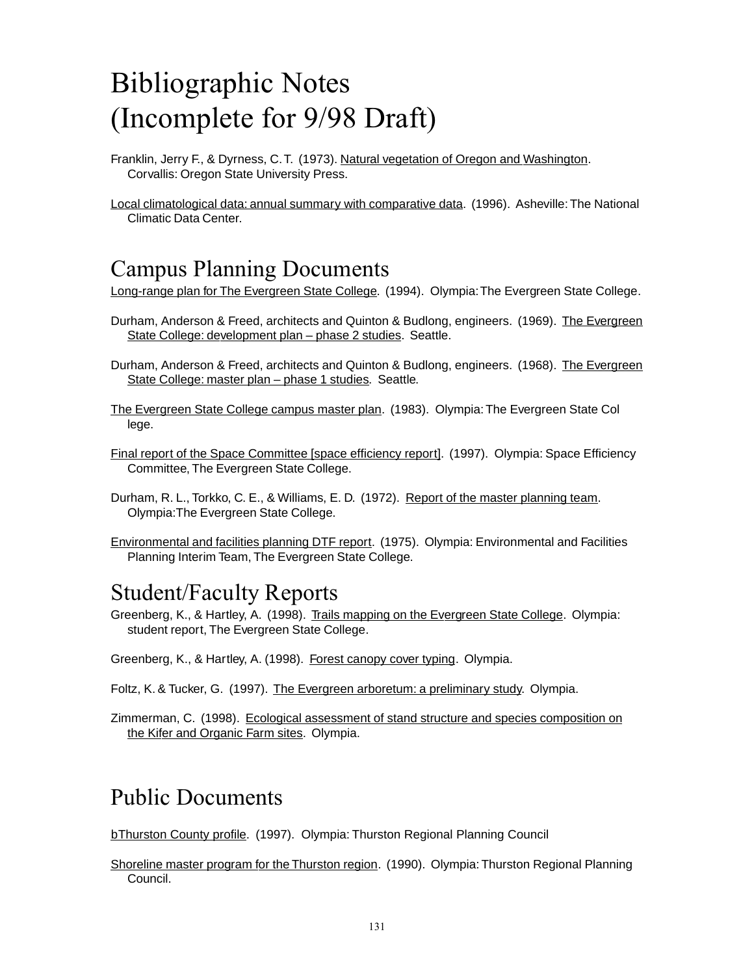## Bibliographic Notes (Incomplete for 9/98 Draft)

- Franklin, Jerry F., & Dyrness, C. T. (1973). Natural vegetation of Oregon and Washington. Corvallis: Oregon State University Press.
- Local climatological data: annual summary with comparative data. (1996). Asheville: The National Climatic Data Center.

### Campus Planning Documents

Long-range plan for The Evergreen State College. (1994). Olympia: The Evergreen State College.

- Durham, Anderson & Freed, architects and Quinton & Budlong, engineers. (1969). The Evergreen State College: development plan – phase 2 studies. Seattle.
- Durham, Anderson & Freed, architects and Quinton & Budlong, engineers. (1968). The Evergreen State College: master plan – phase 1 studies. Seattle.
- The Evergreen State College campus master plan. (1983). Olympia: The Evergreen State Col lege.
- Final report of the Space Committee [space efficiency report]. (1997). Olympia: Space Efficiency Committee, The Evergreen State College.
- Durham, R. L., Torkko, C. E., & Williams, E. D. (1972). Report of the master planning team. Olympia:The Evergreen State College.
- Environmental and facilities planning DTF report. (1975). Olympia: Environmental and Facilities Planning Interim Team, The Evergreen State College.

### Student/Faculty Reports

- Greenberg, K., & Hartley, A. (1998). Trails mapping on the Evergreen State College. Olympia: student report, The Evergreen State College.
- Greenberg, K., & Hartley, A. (1998). Forest canopy cover typing. Olympia.
- Foltz, K. & Tucker, G. (1997). The Evergreen arboretum: a preliminary study. Olympia.
- Zimmerman, C. (1998). Ecological assessment of stand structure and species composition on the Kifer and Organic Farm sites. Olympia.

### Public Documents

bThurston County profile. (1997). Olympia: Thurston Regional Planning Council

Shoreline master program for the Thurston region. (1990). Olympia: Thurston Regional Planning Council.